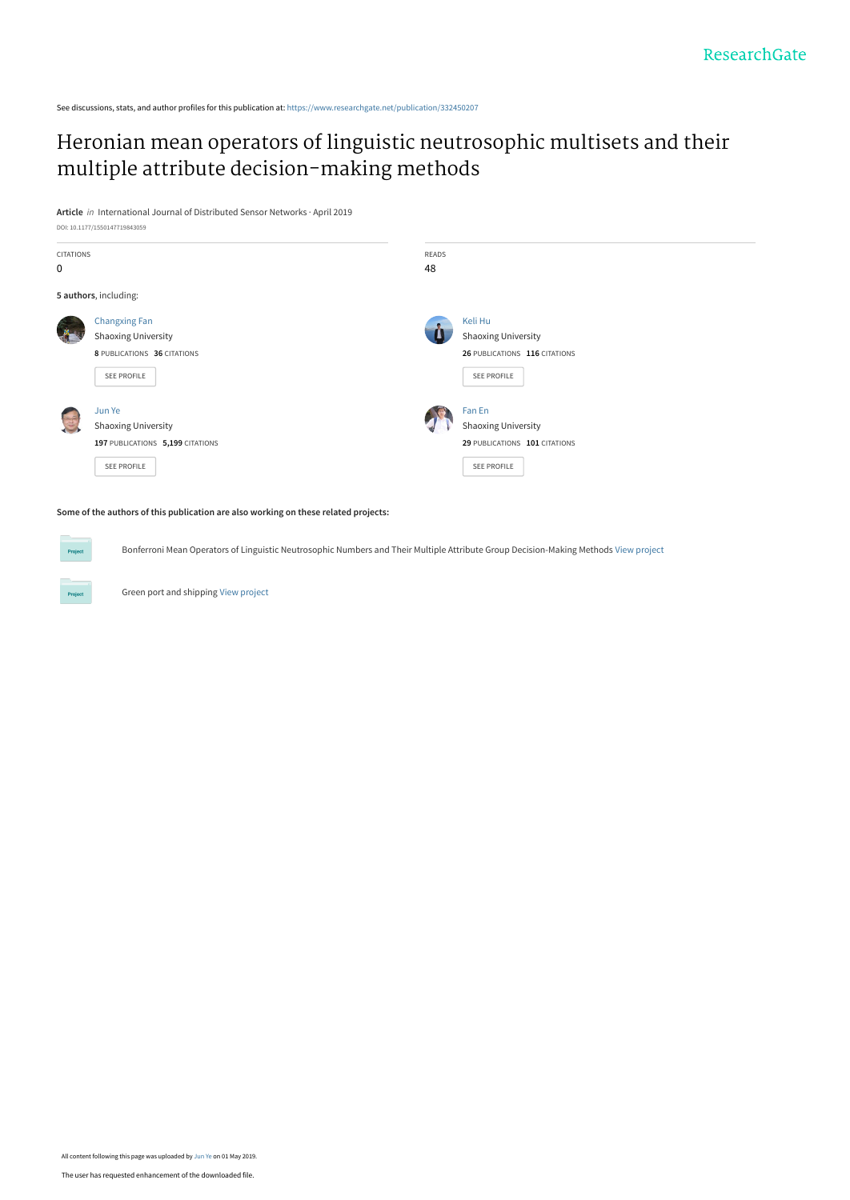See discussions, stats, and author profiles for this publication at: [https://www.researchgate.net/publication/332450207](https://www.researchgate.net/publication/332450207_Heronian_mean_operators_of_linguistic_neutrosophic_multisets_and_their_multiple_attribute_decision-making_methods?enrichId=rgreq-e1247d9babbf802a3d2321248ce5e278-XXX&enrichSource=Y292ZXJQYWdlOzMzMjQ1MDIwNztBUzo3NTM2Mzg1NDQ3NzMxMjVAMTU1NjY5MjgzOTY4OQ%3D%3D&el=1_x_2&_esc=publicationCoverPdf)

## [Heronian mean operators of linguistic neutrosophic multisets and their](https://www.researchgate.net/publication/332450207_Heronian_mean_operators_of_linguistic_neutrosophic_multisets_and_their_multiple_attribute_decision-making_methods?enrichId=rgreq-e1247d9babbf802a3d2321248ce5e278-XXX&enrichSource=Y292ZXJQYWdlOzMzMjQ1MDIwNztBUzo3NTM2Mzg1NDQ3NzMxMjVAMTU1NjY5MjgzOTY4OQ%3D%3D&el=1_x_3&_esc=publicationCoverPdf) multiple attribute decision-making methods

**Article** in International Journal of Distributed Sensor Networks · April 2019



**Some of the authors of this publication are also working on these related projects:**

Bonferroni Mean Operators of Linguistic Neutrosophic Numbers and Their Multiple Attribute Group Decision-Making Methods [View project](https://www.researchgate.net/project/Bonferroni-Mean-Operators-of-Linguistic-Neutrosophic-Numbers-and-Their-Multiple-Attribute-Group-Decision-Making-Methods?enrichId=rgreq-e1247d9babbf802a3d2321248ce5e278-XXX&enrichSource=Y292ZXJQYWdlOzMzMjQ1MDIwNztBUzo3NTM2Mzg1NDQ3NzMxMjVAMTU1NjY5MjgzOTY4OQ%3D%3D&el=1_x_9&_esc=publicationCoverPdf)

Green port and shipping [View project](https://www.researchgate.net/project/Green-port-and-shipping?enrichId=rgreq-e1247d9babbf802a3d2321248ce5e278-XXX&enrichSource=Y292ZXJQYWdlOzMzMjQ1MDIwNztBUzo3NTM2Mzg1NDQ3NzMxMjVAMTU1NjY5MjgzOTY4OQ%3D%3D&el=1_x_9&_esc=publicationCoverPdf)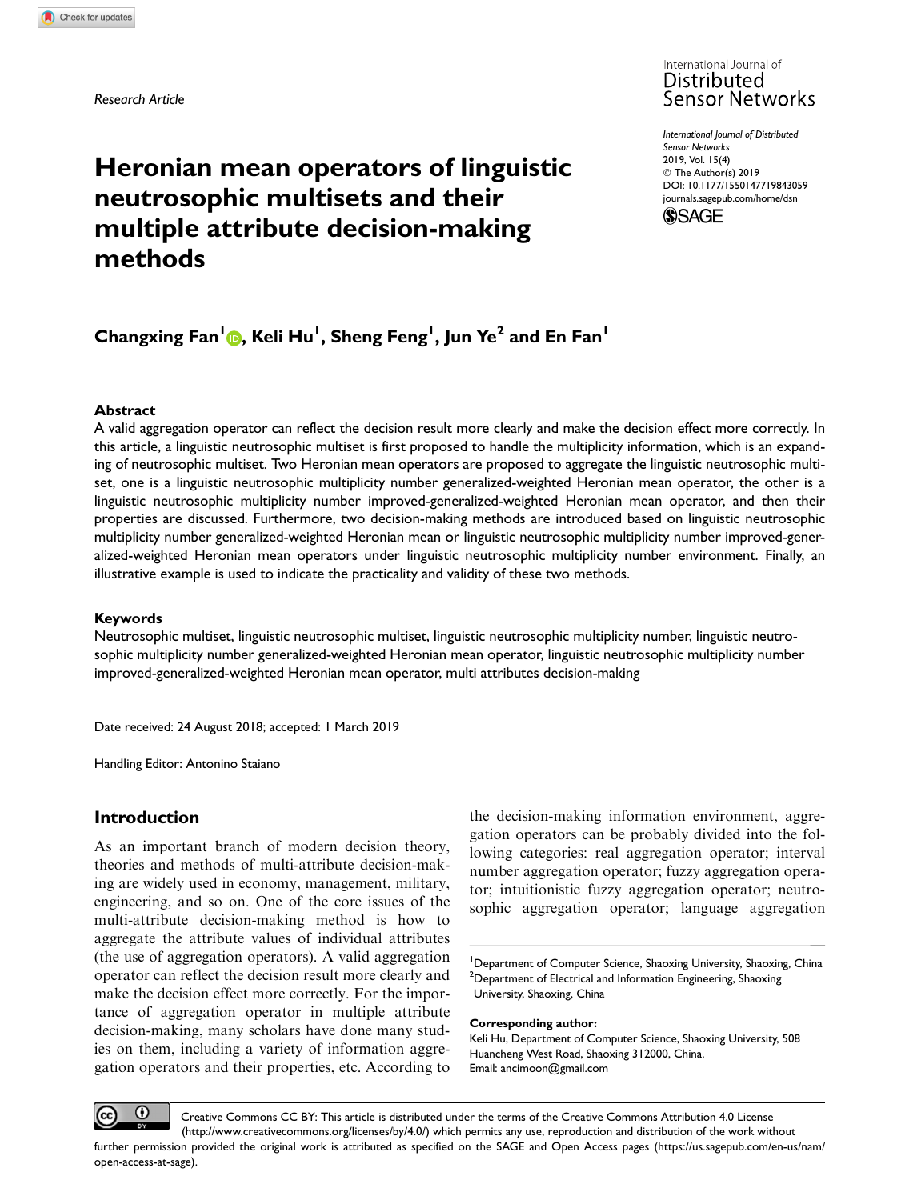Research Article

# Heronian mean operators of linguistic neutrosophic multisets and their multiple attribute decision-making methods

International Journal of Distributed Sensor Networks 2019, Vol. 15(4) © The Author(s) 2019 [DOI: 10.1177/1550147719843059](https://doi.org/10.1177/1550147719843059) [journals.sagepub.com/home/dsn](http://journals.sagepub.com/home/dsn)



## Changxing Fan<sup>1</sup>®, Keli Hu<sup>1</sup>, Sheng Feng<sup>1</sup>, Jun Ye<sup>2</sup> and En Fan<sup>1</sup>

### Abstract

A valid aggregation operator can reflect the decision result more clearly and make the decision effect more correctly. In this article, a linguistic neutrosophic multiset is first proposed to handle the multiplicity information, which is an expanding of neutrosophic multiset. Two Heronian mean operators are proposed to aggregate the linguistic neutrosophic multiset, one is a linguistic neutrosophic multiplicity number generalized-weighted Heronian mean operator, the other is a linguistic neutrosophic multiplicity number improved-generalized-weighted Heronian mean operator, and then their properties are discussed. Furthermore, two decision-making methods are introduced based on linguistic neutrosophic multiplicity number generalized-weighted Heronian mean or linguistic neutrosophic multiplicity number improved-generalized-weighted Heronian mean operators under linguistic neutrosophic multiplicity number environment. Finally, an illustrative example is used to indicate the practicality and validity of these two methods.

## Keywords

Neutrosophic multiset, linguistic neutrosophic multiset, linguistic neutrosophic multiplicity number, linguistic neutrosophic multiplicity number generalized-weighted Heronian mean operator, linguistic neutrosophic multiplicity number improved-generalized-weighted Heronian mean operator, multi attributes decision-making

Date received: 24 August 2018; accepted: 1 March 2019

Handling Editor: Antonino Staiano

## Introduction

As an important branch of modern decision theory, theories and methods of multi-attribute decision-making are widely used in economy, management, military, engineering, and so on. One of the core issues of the multi-attribute decision-making method is how to aggregate the attribute values of individual attributes (the use of aggregation operators). A valid aggregation operator can reflect the decision result more clearly and make the decision effect more correctly. For the importance of aggregation operator in multiple attribute decision-making, many scholars have done many studies on them, including a variety of information aggregation operators and their properties, etc. According to

the decision-making information environment, aggregation operators can be probably divided into the following categories: real aggregation operator; interval number aggregation operator; fuzzy aggregation operator; intuitionistic fuzzy aggregation operator; neutrosophic aggregation operator; language aggregation

<sup>1</sup>Department of Computer Science, Shaoxing University, Shaoxing, China  $^{2}$ Department of Electrical and Information Engineering, Shaoxing University, Shaoxing, China

Corresponding author:

Keli Hu, Department of Computer Science, Shaoxing University, 508 Huancheng West Road, Shaoxing 312000, China. Email: ancimoon@gmail.com

 $_{\odot}$ Creative Commons CC BY: This article is distributed under the terms of the Creative Commons Attribution 4.0 License (http://www.creativecommons.org/licenses/by/4.0/) which permits any use, reproduction and distribution of the work without further permission provided the original work is attributed as specified on the SAGE and Open Access pages (https://us.sagepub.com/en-us/nam/ open-access-at-sage).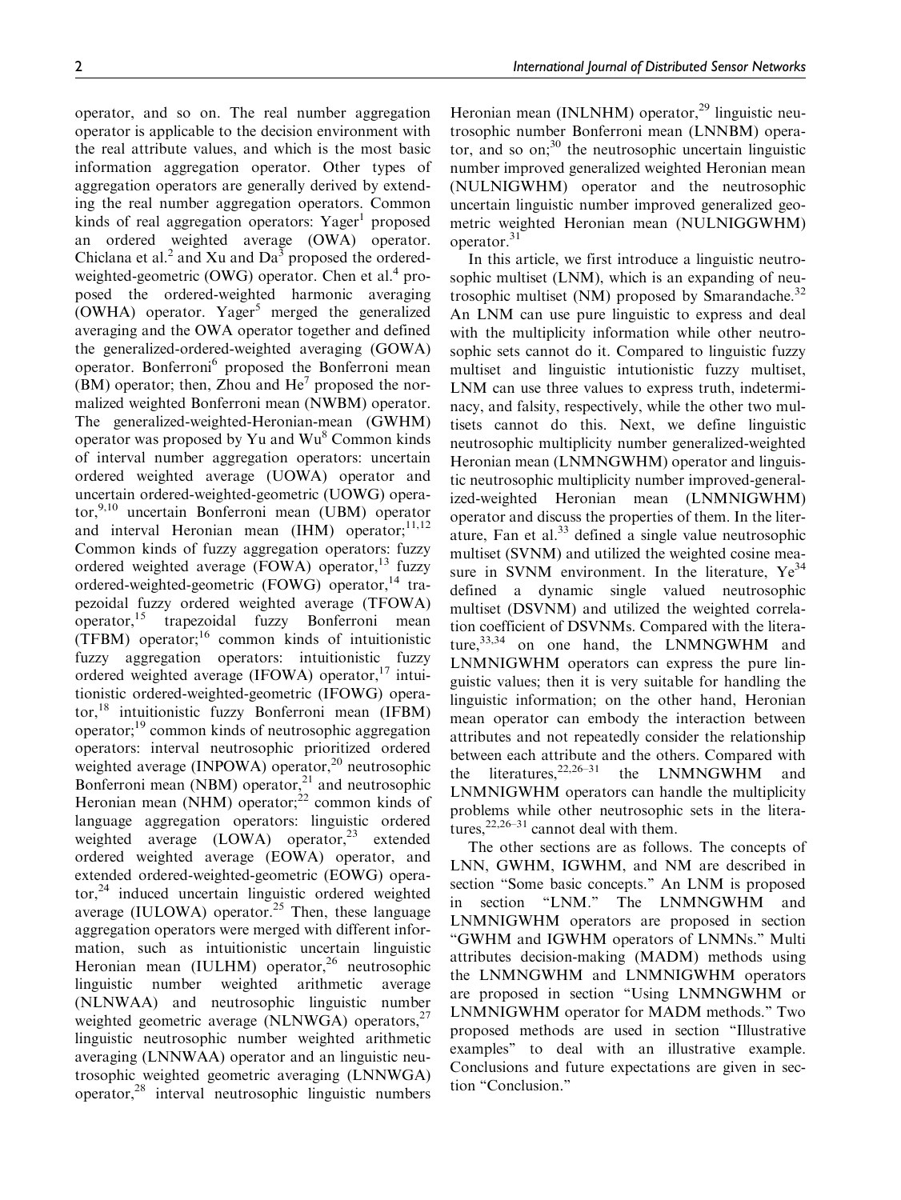operator, and so on. The real number aggregation operator is applicable to the decision environment with the real attribute values, and which is the most basic information aggregation operator. Other types of aggregation operators are generally derived by extending the real number aggregation operators. Common kinds of real aggregation operators: Yager<sup>1</sup> proposed an ordered weighted average (OWA) operator. Chiclana et al.<sup>2</sup> and Xu and  $Da<sup>3</sup>$  proposed the orderedweighted-geometric (OWG) operator. Chen et al.<sup>4</sup> proposed the ordered-weighted harmonic averaging (OWHA) operator. Yager<sup>5</sup> merged the generalized averaging and the OWA operator together and defined the generalized-ordered-weighted averaging (GOWA) operator. Bonferroni<sup>6</sup> proposed the Bonferroni mean (BM) operator; then, Zhou and  $He<sup>7</sup>$  proposed the normalized weighted Bonferroni mean (NWBM) operator. The generalized-weighted-Heronian-mean (GWHM) operator was proposed by Yu and Wu<sup>8</sup> Common kinds of interval number aggregation operators: uncertain ordered weighted average (UOWA) operator and uncertain ordered-weighted-geometric (UOWG) operator,  $9,10$  uncertain Bonferroni mean (UBM) operator and interval Heronian mean  $(HM)$  operator;<sup>11,12</sup> Common kinds of fuzzy aggregation operators: fuzzy ordered weighted average (FOWA) operator,  $13 \text{ fuzzy}$ ordered-weighted-geometric (FOWG) operator,<sup>14</sup> trapezoidal fuzzy ordered weighted average (TFOWA) operator,15 trapezoidal fuzzy Bonferroni mean  $(TFBM)$  operator;<sup>16</sup> common kinds of intuitionistic fuzzy aggregation operators: intuitionistic fuzzy ordered weighted average (IFOWA) operator, $17$  intuitionistic ordered-weighted-geometric (IFOWG) operator,18 intuitionistic fuzzy Bonferroni mean (IFBM) operator;19 common kinds of neutrosophic aggregation operators: interval neutrosophic prioritized ordered weighted average (INPOWA) operator,<sup>20</sup> neutrosophic Bonferroni mean (NBM) operator, $^{21}$  and neutrosophic Heronian mean (NHM) operator; $^{22}$  common kinds of language aggregation operators: linguistic ordered weighted average (LOWA) operator,<sup>23</sup> extended ordered weighted average (EOWA) operator, and extended ordered-weighted-geometric (EOWG) operator,<sup>24</sup> induced uncertain linguistic ordered weighted average (IULOWA) operator.<sup>25</sup> Then, these language aggregation operators were merged with different information, such as intuitionistic uncertain linguistic Heronian mean  $(IULHM)$  operator,<sup>26</sup> neutrosophic linguistic number weighted arithmetic average (NLNWAA) and neutrosophic linguistic number weighted geometric average (NLNWGA) operators, $27$ linguistic neutrosophic number weighted arithmetic averaging (LNNWAA) operator and an linguistic neutrosophic weighted geometric averaging (LNNWGA) operator,28 interval neutrosophic linguistic numbers

Heronian mean (INLNHM) operator, $^{29}$  linguistic neutrosophic number Bonferroni mean (LNNBM) operator, and so  $\text{on}$ ;<sup>30</sup> the neutrosophic uncertain linguistic number improved generalized weighted Heronian mean (NULNIGWHM) operator and the neutrosophic uncertain linguistic number improved generalized geometric weighted Heronian mean (NULNIGGWHM) operator.31

In this article, we first introduce a linguistic neutrosophic multiset (LNM), which is an expanding of neutrosophic multiset (NM) proposed by Smarandache. $32$ An LNM can use pure linguistic to express and deal with the multiplicity information while other neutrosophic sets cannot do it. Compared to linguistic fuzzy multiset and linguistic intutionistic fuzzy multiset, LNM can use three values to express truth, indeterminacy, and falsity, respectively, while the other two multisets cannot do this. Next, we define linguistic neutrosophic multiplicity number generalized-weighted Heronian mean (LNMNGWHM) operator and linguistic neutrosophic multiplicity number improved-generalized-weighted Heronian mean (LNMNIGWHM) operator and discuss the properties of them. In the literature, Fan et al. $33$  defined a single value neutrosophic multiset (SVNM) and utilized the weighted cosine measure in SVNM environment. In the literature,  $Ye^{34}$ defined a dynamic single valued neutrosophic multiset (DSVNM) and utilized the weighted correlation coefficient of DSVNMs. Compared with the literature, $33,34$  on one hand, the LNMNGWHM and LNMNIGWHM operators can express the pure linguistic values; then it is very suitable for handling the linguistic information; on the other hand, Heronian mean operator can embody the interaction between attributes and not repeatedly consider the relationship between each attribute and the others. Compared with<br>the literatures,  $22,26-31$  the LNMNGWHM and the literatures,  $22,26-31$  the LNMNGWHM and LNMNIGWHM operators can handle the multiplicity problems while other neutrosophic sets in the literatures,  $22,26-31$  cannot deal with them.

The other sections are as follows. The concepts of LNN, GWHM, IGWHM, and NM are described in section ''Some basic concepts.'' An LNM is proposed in section "LNM." The LNMNGWHM and LNMNIGWHM operators are proposed in section ''GWHM and IGWHM operators of LNMNs.'' Multi attributes decision-making (MADM) methods using the LNMNGWHM and LNMNIGWHM operators are proposed in section ''Using LNMNGWHM or LNMNIGWHM operator for MADM methods.'' Two proposed methods are used in section ''Illustrative examples'' to deal with an illustrative example. Conclusions and future expectations are given in section ''Conclusion.''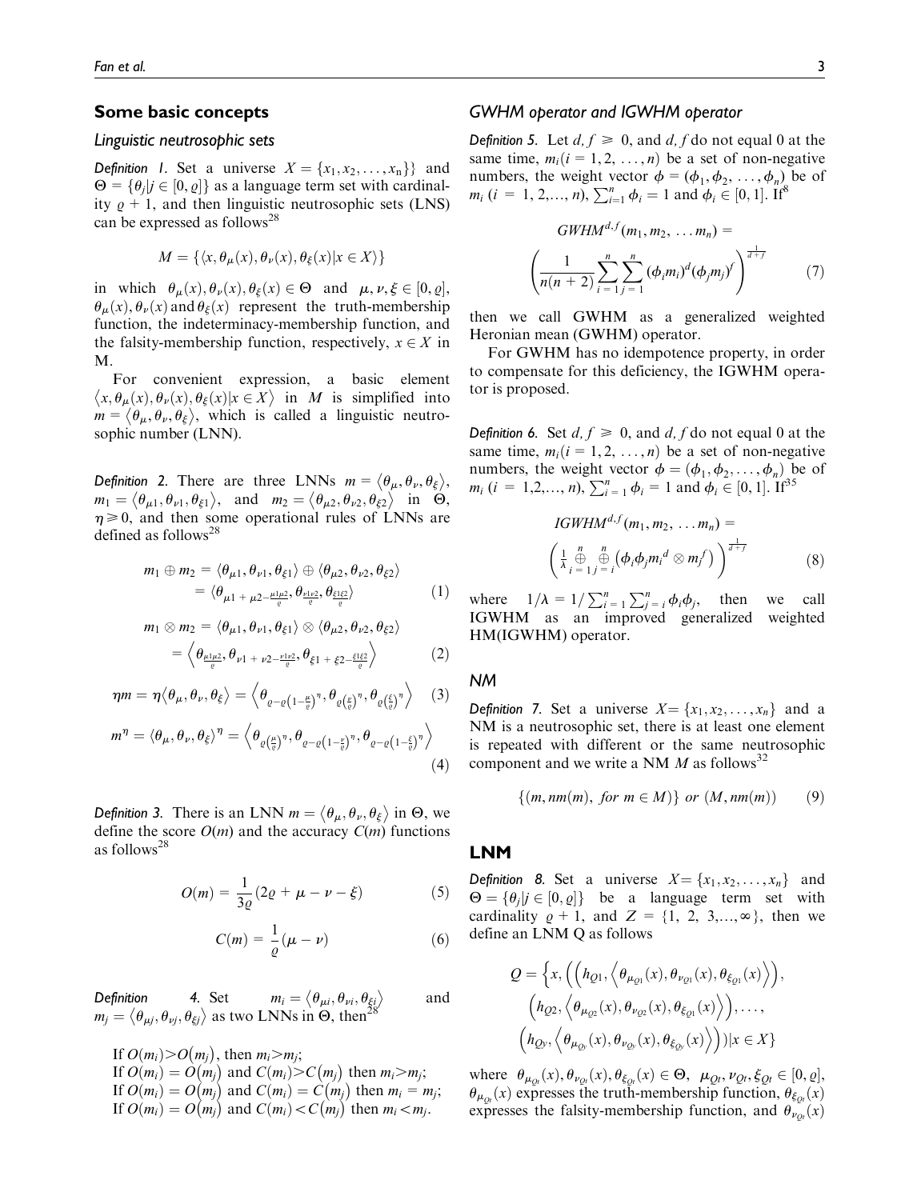### Some basic concepts

#### Linguistic neutrosophic sets

**Definition** 1. Set a universe  $X = \{x_1, x_2, \ldots, x_n\}$  and  $\Theta = {\theta_j | j \in [0, \varrho]}$  as a language term set with cardinality  $\rho + 1$ , and then linguistic neutrosophic sets (LNS) can be expressed as follows<sup>28</sup>

$$
M = \{ \langle x, \theta_{\mu}(x), \theta_{\nu}(x), \theta_{\xi}(x) | x \in X \rangle \}
$$

in which  $\theta_{\mu}(x), \theta_{\nu}(x), \theta_{\xi}(x) \in \Theta$  and  $\mu, \nu, \xi \in [0, \varrho],$  $\theta_{\mu}(x), \theta_{\nu}(x)$  and  $\theta_{\xi}(x)$  represent the truth-membership function, the indeterminacy-membership function, and the falsity-membership function, respectively,  $x \in X$  in M.

For convenient expression, a basic element  $\langle x, \theta_{\mu}(x), \theta_{\nu}(x), \theta_{\xi}(x) | x \in X \rangle$  in *M* is simplified into  $m = \langle \theta_{\mu}, \theta_{\nu}, \theta_{\xi} \rangle$ , which is called a linguistic neutrosophic number (LNN).

Definition 2. There are three LNNs  $m = \langle \theta_{\mu}, \theta_{\nu}, \theta_{\xi} \rangle$ ,  $m_1 = \langle \theta_{\mu 1}, \theta_{\nu 1}, \theta_{\xi 1} \rangle$ , and  $m_2 = \langle \theta_{\mu 2}, \theta_{\nu 2}, \theta_{\xi 2} \rangle$  in  $\Theta$ ,  $\eta \ge 0$ , and then some operational rules of LNNs are defined as follows<sup>28</sup>

$$
m_1 \oplus m_2 = \langle \theta_{\mu 1}, \theta_{\nu 1}, \theta_{\xi 1} \rangle \oplus \langle \theta_{\mu 2}, \theta_{\nu 2}, \theta_{\xi 2} \rangle
$$
  
= 
$$
\langle \theta_{\mu 1 + \mu 2 - \frac{\mu_1 \mu_2}{c}, \theta_{\frac{\nu_1 \nu_2}{c}, \theta_{\xi_2} \geq \rangle}
$$
 (1)

$$
m_1 \otimes m_2 = \langle \theta_{\mu 1}, \theta_{\nu 1}, \theta_{\xi 1} \rangle \otimes \langle \theta_{\mu 2}, \theta_{\nu 2}, \theta_{\xi 2} \rangle
$$
  
=  $\langle \theta_{\frac{\mu_1 \mu_2}{\varrho}}, \theta_{\nu 1 + \nu 2 - \frac{\nu_1 \nu_2}{\varrho}}, \theta_{\xi 1 + \xi 2 - \frac{\xi_1 \xi_2}{\varrho}} \rangle$  (2)

$$
\eta m = \eta \langle \theta_{\mu}, \theta_{\nu}, \theta_{\xi} \rangle = \left\langle \theta_{\varrho - \varrho \left(1 - \frac{\mu}{\varrho}\right)^{\eta}}, \theta_{\varrho \left(\frac{\xi}{\varrho}\right)^{\eta}}, \theta_{\varrho \left(\frac{\xi}{\varrho}\right)^{\eta}} \right\rangle \tag{3}
$$

$$
m^{\eta} = \langle \theta_{\mu}, \theta_{\nu}, \theta_{\xi} \rangle^{\eta} = \left\langle \theta_{\varrho \left(\frac{\mu}{\varrho}\right)^{\eta}}, \theta_{\varrho - \varrho \left(1 - \frac{\mu}{\varrho}\right)^{\eta}}, \theta_{\varrho - \varrho \left(1 - \frac{\xi}{\varrho}\right)^{\eta}} \right\rangle
$$
\n(4)

Definition 3. There is an LNN  $m = \langle \theta_{\mu}, \theta_{\nu}, \theta_{\xi} \rangle$  in  $\Theta$ , we define the score  $O(m)$  and the accuracy  $C(m)$  functions as follows28

$$
O(m) = \frac{1}{3\varrho} (2\varrho + \mu - \nu - \xi)
$$
 (5)

$$
C(m) = \frac{1}{\varrho}(\mu - \nu) \tag{6}
$$

Definition 4. Set  $m_i = \langle \theta_{\mu i}, \theta_{\nu i}, \theta_{\xi i} \rangle$  and  $m_j = \langle \theta_{\mu j}, \theta_{\nu j}, \theta_{\xi j} \rangle$  as two LNNs in  $\Theta$ , then<sup>28</sup>

If  $O(m_i) > O(m_j)$ , then  $m_i > m_j$ ; If  $O(m_i) = O(m_j)$  and  $C(m_i) > C(m_j)$  then  $m_i > m_j$ ; If  $O(m_i) = O(m_j)$  and  $C(m_i) = C(m_j)$  then  $m_i = m_j$ ;<br>If  $O(m_i) = O(m_j)$  and  $C(m_i) = C(m_j)$  then  $m_i = m_j$ ; If  $O(m_i) = O(m_j)$  and  $C(m_i) < C(m_j)$  then  $m_i < m_j$ .<br>If  $O(m_i) = O(m_j)$  and  $C(m_i) < C(m_j)$  then  $m_i < m_j$ .

### GWHM operator and IGWHM operator

**Definition 5.** Let  $d, f \ge 0$ , and  $d, f$  do not equal 0 at the same time,  $m_i(i = 1, 2, ..., n)$  be a set of non-negative numbers, the weight vector  $\phi = (\phi_1, \phi_2, \dots, \phi_n)$  be of  $m_i$  (i = 1, 2,..., n),  $\sum_{i=1}^{n} \phi_i = 1$  and  $\phi_i \in [0, 1]$ . If<sup>8</sup>

$$
GWHM^{d,f}(m_1, m_2, \dots m_n) =
$$

$$
\left(\frac{1}{n(n+2)}\sum_{i=1}^n \sum_{j=1}^n (\phi_i m_i)^d (\phi_j m_j)^f\right)^{\frac{1}{d+f}} \tag{7}
$$

then we call GWHM as a generalized weighted Heronian mean (GWHM) operator.

For GWHM has no idempotence property, in order to compensate for this deficiency, the IGWHM operator is proposed.

**Definition 6.** Set  $d, f \ge 0$ , and  $d, f$  do not equal 0 at the same time,  $m_i(i = 1, 2, ..., n)$  be a set of non-negative numbers, the weight vector  $\phi = (\phi_1, \phi_2, \dots, \phi_n)$  be of  $m_i$   $(i = 1,2,..., n), \sum_{i=1}^{n} \phi_i = 1$  and  $\phi_i \in [0, 1].$  If<sup>35</sup>

IGWHM<sup>d,f</sup>(m<sub>1</sub>, m<sub>2</sub>, ... m<sub>n</sub>) =  
\n
$$
\left(\frac{1}{\lambda}\bigoplus_{i=1}^{n}\bigoplus_{j=1}^{n}(\phi_{i}\phi_{j}m_{i}^{d}\otimes m_{j}^{f})\right)^{\frac{1}{d+f}}
$$
\n(8)

where  $1/\lambda = 1/\sum_{i=1}^{n} \sum_{j=i}^{n} \phi_i \phi_j$ , then we call IGWHM as an improved generalized weighted HM(IGWHM) operator.

## NM

**Definition 7.** Set a universe  $X = \{x_1, x_2, \ldots, x_n\}$  and a NM is a neutrosophic set, there is at least one element is repeated with different or the same neutrosophic component and we write a NM  $M$  as follows<sup>32</sup>

$$
\{(m, nm(m), for m \in M)\} \text{ or } (M, nm(m)) \qquad (9)
$$

#### LNM

**Definition 8.** Set a universe  $X = \{x_1, x_2, \ldots, x_n\}$  and  $\Theta = {\theta_j | j \in [0, \varrho]}$  be a language term set with cardinality  $\rho + 1$ , and  $Z = \{1, 2, 3,...,\infty\}$ , then we define an LNM Q as follows

$$
Q = \left\{ x, \left( \left( h_{Q1}, \left\langle \theta_{\mu_{Q1}}(x), \theta_{\nu_{Q1}}(x), \theta_{\xi_{Q1}}(x) \right\rangle \right), \right. \\ \left. \left( h_{Q2}, \left\langle \theta_{\mu_{Q2}}(x), \theta_{\nu_{Q2}}(x), \theta_{\xi_{Q1}}(x) \right\rangle \right), \dots, \right. \\ \left. \left( h_{Qy}, \left\langle \theta_{\mu_{Qy}}(x), \theta_{\nu_{Qy}}(x), \theta_{\xi_{Qy}}(x) \right\rangle \right) \right) | x \in X \right\}
$$

where  $\theta_{\mu_{Qt}}(x), \theta_{\nu_{Qt}}(x), \theta_{\xi_{Qt}}(x) \in \Theta$ ,  $\mu_{Qt}, \nu_{Qt}, \xi_{Qt} \in [0, \varrho]$ ,  $\theta_{\mu_{\alpha}}(x)$  expresses the truth-membership function,  $\theta_{\xi_{\alpha}}(x)$ expresses the falsity-membership function, and  $\theta_{\nu_{Qt}}(x)$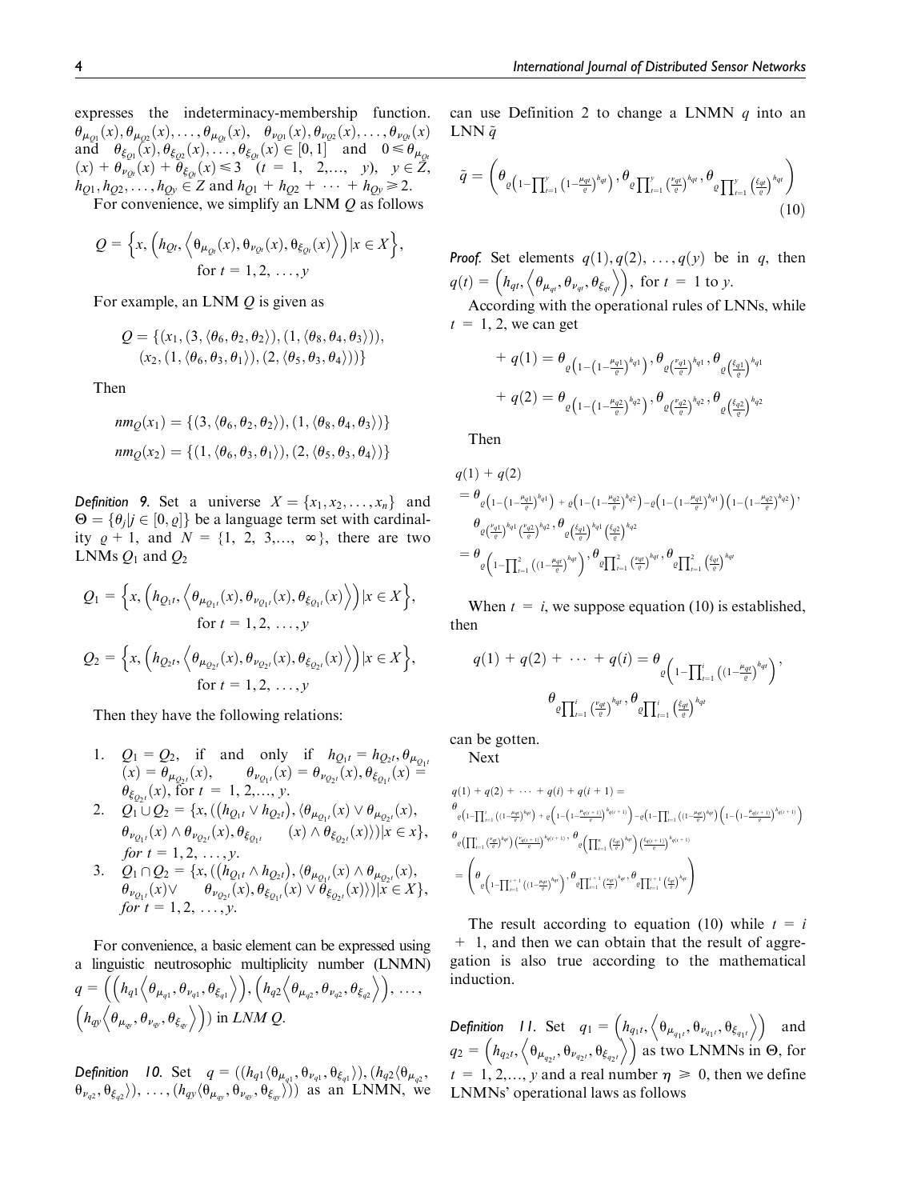expresses the indeterminacy-membership function.  $\theta_{\mu_{Q1}}(x), \theta_{\mu_{Q2}}(x), \ldots, \theta_{\mu_{Qt}}(x), \ \ \ \theta_{\nu_{Q1}}(x), \theta_{\nu_{Q2}}(x), \ldots, \theta_{\nu_{Qt}}(x)$ and  $\theta_{\xi_{Q1}}(x), \theta_{\xi_{Q2}}(x), \dots, \theta_{\xi_{Qt}}(x) \in [0, 1]$  and  $0 \leq \theta_{\mu_{Qt}}$  $(x) + \theta_{\nu_{Qt}}(x) + \theta_{\xi_{Qt}}(x) \leq 3 \quad (t = 1, 2,..., y), \quad y \in \mathbb{Z},$  $h_{Q1}, h_{Q2}, \ldots, h_{Qy} \in \mathbb{Z}$  and  $h_{Q1} + h_{Q2} + \cdots + h_{Qy} \geq 2$ .

For convenience, we simplify an LNM  $Q$  as follows

$$
Q = \left\{ x, \left( h_{Qt}, \left\langle \theta_{\mu_{Qt}}(x), \theta_{\nu_{Qt}}(x), \theta_{\xi_{Qt}}(x) \right\rangle \right) | x \in X \right\},
$$
  
for  $t = 1, 2, ..., y$ 

For example, an LNM  $Q$  is given as

$$
Q = \{ (x_1, (3, \langle \theta_6, \theta_2, \theta_2 \rangle), (1, \langle \theta_8, \theta_4, \theta_3 \rangle)),(x_2, (1, \langle \theta_6, \theta_3, \theta_1 \rangle), (2, \langle \theta_5, \theta_3, \theta_4 \rangle)) \}
$$

Then

$$
nm_Q(x_1) = \{ (3, \langle \theta_6, \theta_2, \theta_2 \rangle), (1, \langle \theta_8, \theta_4, \theta_3 \rangle) \}
$$

$$
nm_Q(x_2) = \{ (1, \langle \theta_6, \theta_3, \theta_1 \rangle), (2, \langle \theta_5, \theta_3, \theta_4 \rangle) \}
$$

**Definition 9.** Set a universe  $X = \{x_1, x_2, \ldots, x_n\}$  and  $\Theta = {\theta_j | j \in [0, \varrho]}$  be a language term set with cardinality  $\rho + 1$ , and  $N = \{1, 2, 3,..., \infty\}$ , there are two LNMs  $Q_1$  and  $Q_2$ 

$$
Q_1 = \Big\{ x, \Big( h_{Q_1t}, \Big\langle \theta_{\mu_{Q_1t}}(x), \theta_{\nu_{Q_1t}}(x), \theta_{\xi_{Q_1t}}(x) \Big\rangle \Big) | x \in X \Big\},\
$$
  
for  $t = 1, 2, ..., y$   

$$
Q_2 = \Big\{ x, \Big( h_{Q_2t}, \Big\langle \theta_{\mu_{Q_2t}}(x), \theta_{\nu_{Q_2t}}(x), \theta_{\xi_{Q_2t}}(x) \Big\rangle \Big) | x \in X \Big\},\
$$
  
for  $t = 1, 2, ..., y$ 

Then they have the following relations:

- 1.  $Q_1 = Q_2$ , if and only if  $h_{Q_1t} = h_{Q_2t}, \theta_{\mu_{Q_1t}}$  $\phi(x) = \theta_{\mu_{Q_2t}}(x), \qquad \theta_{\nu_{Q_1t}}(x) = \theta_{\nu_{Q_2t}}(x), \theta_{\xi_{Q_1t}}(x) =$  $\theta_{\xi_{Q_2t}}(x)$ , for  $t = 1, 2, ..., y$ .
- 2.  $Q_1 \cup Q_2 = \{x, ((h_{Q_1t} \vee h_{Q_2t}), \langle \theta_{\mu_{Q_1t}}(x) \vee \theta_{\mu_{Q_2t}}(x)),$  $\theta_{\nu_{Q_1t}}(x) \wedge \theta_{\nu_{Q_2t}}(x), \theta_{\xi_{Q_1t}} \qquad (x) \wedge \theta_{\xi_{Q_2t}}(x) \rangle)|x \in x\},\,$ for  $t = 1, 2, ..., y$ .
- 3.  $Q_1 \cap Q_2 = \{x, ((h_{Q_1t} \wedge h_{Q_2t}), \langle \theta_{\mu_{Q_1t}}(x) \wedge \theta_{\mu_{Q_2t}}(x)),$  $\theta_{\nu_{Q_1t}}(x) \vee \qquad \theta_{\nu_{Q_2t}}(x), \theta_{\xi_{Q_1t}}(x) \vee \theta_{\xi_{Q_2t}}(x) \rangle)|x \in X\},\,$ for  $t = 1, 2, ..., y$ .

For convenience, a basic element can be expressed using a linguistic neutrosophic multiplicity number (LNMN)  $q = \left( \left( h_{q1} \left( \theta_{\mu_{q1}}, \theta_{\nu_{q1}}, \theta_{\xi_{q1}} \right) \right), \left( h_{q2} \left( \theta_{\mu_{q2}}, \theta_{\nu_{q2}}, \theta_{\xi_{q2}} \right) \right), \dots \right)$  $\left(h_{q\boldsymbol{\mathsf{y}}}\left\langle \theta_{\boldsymbol{\mathsf{\mu}}_{q\boldsymbol{\mathsf{y}}}}, \theta_{\boldsymbol{\mathsf{\nu}}_{q\boldsymbol{\mathsf{y}}}}, \theta_{\xi_{q\boldsymbol{\mathsf{y}}}}\right\rangle\right)$  in LNM Q.

Definition 10. Set  $q=((h_{q1}\langle \theta_{\mu_{q1}}, \theta_{\nu_{q1}}, \theta_{\xi_{q1}}\rangle), (h_{q2}\langle \theta_{\mu_{q2}}, \theta_{\xi_{q2}}\rangle)$  $(\theta_{\nu_{q2}}, \theta_{\xi_{q2}})$ ), ...,  $(h_{qy} \langle \theta_{\mu_{qy}}, \theta_{\nu_{qy}}, \theta_{\xi_{qy}} \rangle)$ ) as an LNMN, we can use Definition 2 to change a LNMN  $q$  into an LNN  $\tilde{q}$ 

$$
\tilde{q} = \left(\theta_{\varrho\left(1-\prod_{t=1}^{y}\left(1-\frac{\mu_{qt}}{\varrho}\right)^{h_{qt}}\right)}, \theta_{\varrho\prod_{t=1}^{y}\left(\frac{\nu_{qt}}{\varrho}\right)^{h_{qt}}}, \theta_{\varrho\prod_{t=1}^{y}\left(\frac{\xi_{qt}}{\varrho}\right)^{h_{qt}}}\right) \tag{10}
$$

**Proof.** Set elements  $q(1), q(2), \ldots, q(y)$  be in q, then  $q(t) = (h_{qt}, \langle \theta_{\mu_{qt}}, \theta_{\nu_{qt}}, \theta_{\xi_{qt}} \rangle),$  for  $t = 1$  to y.

According with the operational rules of LNNs, while  $t = 1, 2$ , we can get

$$
+ q(1) = \theta_{\varrho\left(1 - \left(1 - \frac{\mu_q 1}{\varrho}\right)^{h_q 1}\right)}, \theta_{\varrho\left(\frac{\nu_q 1}{\varrho}\right)^{h_q 1}}, \theta_{\varrho\left(\frac{\xi_q 1}{\varrho}\right)^{h_q 1}}
$$
  
+ 
$$
q(2) = \theta_{\varrho\left(1 - \left(1 - \frac{\mu_q 2}{\varrho}\right)^{h_q 2}\right)}, \theta_{\varrho\left(\frac{\nu_q 2}{\varrho}\right)^{h_q 2}}, \theta_{\varrho\left(\frac{\xi_q 2}{\varrho}\right)^{h_q 2}}
$$

Then

$$
q(1) + q(2)
$$
  
\n
$$
= \theta_{\varrho\left(1-\left(1-\frac{\mu_{q1}}{\varrho}\right)^{h_{q1}}\right) + \varrho\left(1-\left(1-\frac{\mu_{q2}}{\varrho}\right)^{h_{q2}}\right) - \varrho\left(1-\left(1-\frac{\mu_{q1}}{\varrho}\right)^{h_{q1}}\right)\left(1-\left(1-\frac{\mu_{q2}}{\varrho}\right)^{h_{q2}}\right)},
$$
  
\n
$$
\theta_{\varrho\left(\frac{\varrho_{q1}}{\varrho}\right)^{h_{q1}}\left(\frac{\varrho_{q2}}{\varrho}\right)^{h_{q2}}, \theta_{\varrho\left(\frac{\xi_{q1}}{\varrho}\right)^{h_{q1}}\left(\frac{\xi_{q2}}{\varrho}\right)^{h_{q2}}}
$$
  
\n
$$
= \theta_{\varrho\left(1-\prod_{i=1}^{2}\left(\left(1-\frac{\mu_{q1}}{\varrho}\right)^{h_{qi}}\right), \theta_{\varrho\prod_{i=1}^{2}\left(\frac{\varrho_{q1}}{\varrho}\right)^{h_{qi}}, \theta_{\varrho\prod_{i=1}^{2}\left(\frac{\xi_{q1}}{\varrho}\right)^{h_{qi}}\right)}
$$

When  $t = i$ , we suppose equation (10) is established, then

$$
q(1) + q(2) + \cdots + q(i) = \theta \left( \prod_{i=1}^i \left( (1 - \frac{\mu_{qI}}{e})^{h_{qI}} \right)^{h_{qI}} \right),
$$

$$
\theta \prod_{i=1}^i \left( \frac{\nu_{qI}}{e} \right)^{h_{qI}}, \theta \prod_{i=1}^i \left( \frac{\xi_{qI}}{e} \right)^{h_{qI}}
$$

can be gotten.

Next

$$
\begin{split} & q(1) + q(2) + \cdots + q(i) + q(i+1) = \\ & \theta_{\varrho\left(1-\prod_{i=1}^{i}\left((1-\frac{\mu_{\varrho\varrho}}{\varrho})^{k_{\varrho(i)}}\right) + \varrho\left(1-\left(1-\frac{\mu_{\varrho(i+1)}}{\varrho}\right)^{k_{\varrho(i+1)}}\right) - \varrho\left(1-\prod_{i=1}^{i}\left((1-\frac{\mu_{\varrho\varrho}}{\varrho})^{k_{\varrho(i)}}\right)\left(1-\left(1-\frac{\mu_{\varrho(i+1)}}{\varrho}\right)^{k_{\varrho(i+1)}}\right)^{k_{\varrho(i+1)}}\right) \\ & \theta_{\varrho\left(\prod_{i=1}^{i}\left(\frac{\mu_{\varrho\varrho}}{\varrho}\right)^{k_{\varrho\varrho}\left)}\left(\frac{\mu_{\varrho(i+1)}}{\varrho}\right)^{k_{\varrho(i+1)}}\right)} \theta_{\varrho\left(\prod_{i=1}^{n}\left(\frac{\xi_{\varrho\varrho}}{\varrho}\right)^{k_{\varrho\varrho}\left)}\left(\frac{\xi_{\varrho(i+1)}}{\varrho}\right)^{k_{\varrho(i+1)}}\right)} \\ & = \left(\theta_{\varrho\left(1-\prod_{i=1}^{i+1}\left((1-\frac{\mu_{\varrho\varrho}}{\varrho}\right)^{k_{\varrho\varrho}\left)}\right), \theta_{\varrho\prod_{i=1}^{i+1}\left(\frac{\mu_{\varrho\varrho}}{\varrho}\right)}\left(\theta_{\varrho\prod_{i=1}^{i+1}\left(\frac{\xi_{\varrho\varrho}}{\varrho}\right)^{k_{\varrho\varrho}\left)}\right)}\right)\right. \end{split}
$$

The result according to equation (10) while  $t = i$ + 1, and then we can obtain that the result of aggregation is also true according to the mathematical induction.

**Definition** 11. Set  $q_1 = \left(h_{q_1t}, \left\langle \theta_{\mu_{q_1t}}, \theta_{\nu_{q_1t}}, \theta_{\xi_{q_1t}} \right\rangle \right)$  and  $q_2 = (h_{q_2t}, \langle \theta_{\mu_{q_2t}}, \theta_{\nu_{q_2t}}, \theta_{\xi_{q_2t}} \rangle)$  as two LNMNs in  $\Theta$ , for  $t = 1, 2, \dots, \gamma$  and a real number  $\eta \geq 0$ , then we define LNMNs' operational laws as follows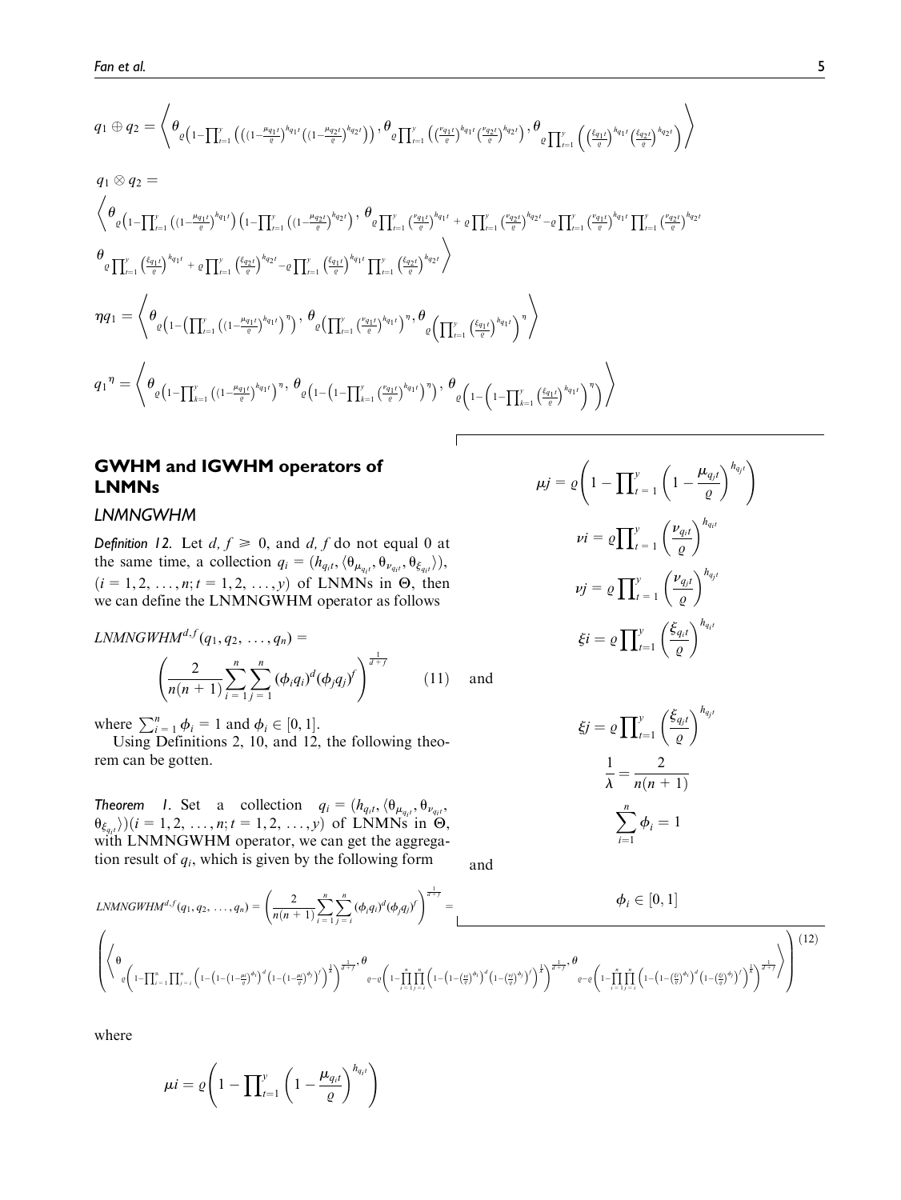$$
q_{1} \oplus q_{2} = \left\langle \theta_{\varrho\left(1-\prod_{i=1}^{v}\left(\left((1-\frac{\mu_{q_{1}i}}{\varrho})^{h_{q_{1}i}}\left((1-\frac{\mu_{q_{2}i}}{\varrho})^{h_{q_{2}i}}\right)\right), \theta_{\varrho\left(\prod_{i=1}^{v}\left(\left(\frac{\nu_{q_{1}i}}{\varrho}\right)^{h_{q_{1}i}}\left(\frac{\nu_{q_{2}i}}{\varrho}\right)^{h_{q_{2}i}}\right), \theta_{\varrho\left(\prod_{i=1}^{v}\left(\frac{\xi_{q_{1}i}}{\varrho}\right)^{h_{q_{1}i}}\left(\frac{\xi_{q_{2}i}}{\varrho}\right)^{h_{q_{2}i}}\right)}\right\rangle \right\rangle
$$
  
\n
$$
q_{1} \otimes q_{2} = \left\langle \theta_{\varrho\left(1-\prod_{i=1}^{v}\left((1-\frac{\mu_{q_{1}i}}{\varrho})^{h_{q_{1}i}}\right)\left(1-\prod_{i=1}^{v}\left((1-\frac{\mu_{q_{2}i}}{\varrho})^{h_{q_{2}i}}\right), \theta_{\varrho\left(\prod_{i=1}^{v}\left(\frac{\nu_{q_{1}i}}{\varrho}\right)^{h_{q_{1}i}} + \varrho\prod_{i=1}^{v}\left(\frac{\nu_{q_{2}i}}{\varrho}\right)^{h_{q_{2}i}} - \varrho\prod_{i=1}^{v}\left(\frac{\nu_{q_{2}i}}{\varrho}\right)^{h_{q_{1}i}}\right) \right\rangle \right\rangle
$$
  
\n
$$
\theta_{\varrho\left(\prod_{i=1}^{v}\left(\frac{\xi_{q_{1}i}}{\varrho}\right)^{h_{q_{1}i}} + \varrho\prod_{i=1}^{v}\left(\frac{\xi_{q_{2}i}}{\varrho}\right)^{h_{q_{2}i}} - \varrho\prod_{i=1}^{v}\left(\frac{\xi_{q_{1}i}}{\varrho}\right)^{h_{q_{1}i}}\prod_{i=1}^{v}\left(\frac{\xi_{q_{2}i}}{\varrho}\right)^{h_{q_{2}i}}\right\rangle}
$$
  
\n
$$
\eta q_{1} = \left\langle \theta_{\varrho\left(1-\left(\prod_{i=1}^{v}\left((1-\frac{\mu_{q_{1}i}}{\varrho
$$

## GWHM and IGWHM operators of LNMNs

## LNMNGWHM

Definition 12. Let  $d, f \ge 0$ , and  $d, f$  do not equal 0 at the same time, a collection  $q_i = (h_{q_i t}, \langle \theta_{\mu_{q_i t}}, \theta_{\nu_{q_i t}}, \theta_{\xi_{q_i t}} \rangle),$  $(i = 1, 2, ..., n; t = 1, 2, ..., y)$  of LNMNs in  $\Theta$ , then we can define the LNMNGWHM operator as follows

$$
LNMNGWHM^{d,f}(q_1, q_2, ..., q_n) =
$$
\n
$$
\left(\frac{2}{n(n+1)}\sum_{i=1}^n \sum_{j=1}^n (\phi_i q_i)^d (\phi_j q_j)^f\right)^{\frac{1}{d+f}} \qquad (11) \quad \text{and}
$$

where  $\sum_{i=1}^{n} \phi_i = 1$  and  $\phi_i \in [0, 1]$ .

Using Definitions 2, 10, and 12, the following theorem can be gotten.

**Theorem 1.** Set a collection  $q_i = (h_{q_i t}, \langle \theta_{\mu_{q_i t}}, \theta_{\nu_{q_i t}}, \theta_{\mu_{q_i t}})$  $\theta_{\xi_{q_i t}}(i = 1, 2, ..., n; t = 1, 2, ..., y)$  of LNMNs in  $\Theta$ , with LNMNGWHM operator, we can get the aggregation result of  $q_i$ , which is given by the following form

and

$$
LMMGWHM^{d,f}(q_1, q_2, ..., q_n) = \left(\frac{2}{n(n+1)} \sum_{i=1}^n \sum_{j=1}^n (\phi_i q_i)^d (\phi_j q_j)^f\right)^{\frac{1}{d+f}} = \frac{\phi_i \in [0, 1]}{\left(\phi_i \left(1 - \prod_{i=1}^n \prod_{j=1}^n \left(1 - \left(1 - \left(\frac{\mu}{e}\right)^{\phi_i}\right)^f\right)^{\frac{1}{d+f}}, \frac{\theta}{e} - e\left(1 - \prod_{i=1}^n \prod_{j=1}^n \left(1 - \left(1 - \left(\frac{\mu}{e}\right)^{\phi_j}\right)^f\right)^{\frac{1}{d+f}}, \frac{\theta}{e} - e\left(1 - \prod_{i=1}^n \prod_{j=1}^n \left(1 - \left(1 - \left(\frac{\mu}{e}\right)^{\phi_j}\right)^f\right)^{\frac{1}{d+f}}, \frac{\theta}{e} - e\left(1 - \prod_{i=1}^n \prod_{j=1}^n \left(1 - \left(1 - \left(\frac{\mu}{e}\right)^{\phi_j}\right)^f\right)^{\frac{1}{d+f}}\right)^{\frac{1}{d+f}}\right)\right)}\right)
$$
\n
$$
(12)
$$

where

$$
\mu i = \varrho \left( 1 - \prod_{t=1}^{y} \left( 1 - \frac{\mu_{q_it}}{\varrho} \right)^{h_{q_it}} \right)
$$

$$
\mu j = \varrho \left( 1 - \prod_{t=1}^{y} \left( 1 - \frac{\mu_{q_j t}}{\varrho} \right)^{h_{q_j t}} \right)
$$

$$
\nu i = \varrho \prod_{t=1}^{y} \left( \frac{\nu_{q_i t}}{\varrho} \right)^{h_{q_i t}}
$$

$$
\nu j = \varrho \prod_{t=1}^{y} \left( \frac{\nu_{q_j t}}{\varrho} \right)^{h_{q_j t}}
$$

$$
\xi i = \varrho \prod_{t=1}^{y} \left( \frac{\xi_{q_i t}}{\varrho} \right)^{h_{q_i t}}
$$

$$
a_{\rm max}
$$

$$
\xi j = \varrho \prod_{t=1}^{y} \left(\frac{\xi_{q,t}}{\varrho}\right)^{h_{q,t}}
$$

$$
\frac{1}{\lambda} = \frac{2}{n(n+1)}
$$

$$
\sum_{i=1}^{n} \phi_i = 1
$$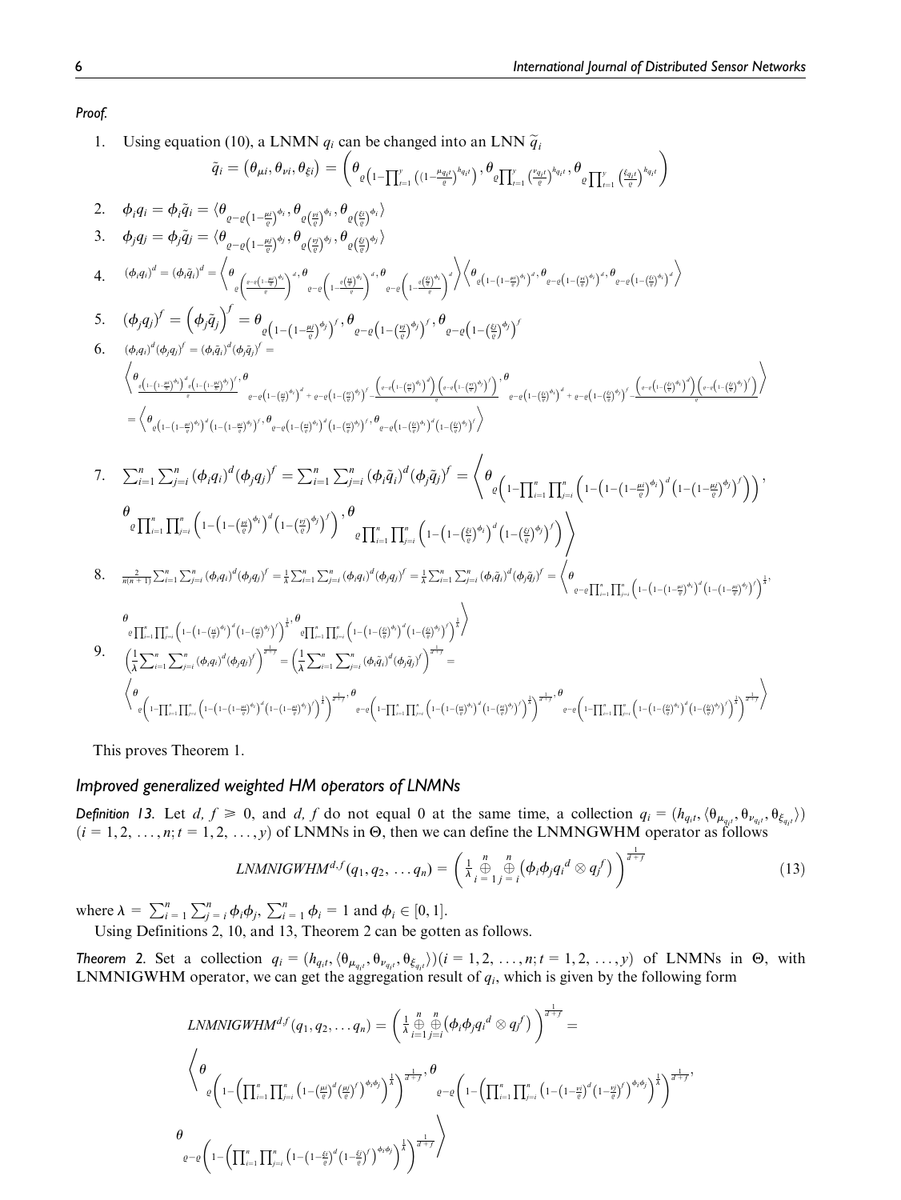Proof.

1. Using equation (10), a LNMN  $q_i$  can be changed into an LNN  $\tilde{q}_i$ 

$$
\tilde{q}_{i} = (\theta_{\mu l}, \theta_{\nu l}, \theta_{\tilde{\epsilon}i}) = (\theta_{\varrho(1-\prod_{r=1}^{V}((1-\frac{\mu_{0l}}{\vartheta})^{b_{\tilde{\epsilon}i}}))}, \theta_{\varrho[\prod_{r=1}^{V}(\frac{\zeta_{\tilde{\epsilon}i}}{\vartheta})^{b_{\tilde{\epsilon}i}}}, \theta_{\varrho[\prod_{r=1}^{V}(\frac{\zeta_{\tilde{\epsilon}i}}{\vartheta})^{b_{\tilde{\epsilon}i}}})
$$
\n2. 
$$
\phi_{i}q_{i} = \phi_{i}\tilde{q}_{i} = \langle \theta_{\varrho-\varrho(1-\frac{\mu_{0}}{\vartheta})^{b_{i}}, \theta_{\varrho(\frac{\mu_{0}}{\vartheta})^{b_{i}}}, \theta_{\varrho(\frac{\mu_{0}}{\vartheta})^{b_{i}}})
$$
\n3. 
$$
\phi_{j}q_{j} = \phi_{j}\tilde{q}_{j} = \langle \theta_{\varrho-\varrho(1-\frac{\mu_{0}}{\vartheta})^{b_{j}}, \theta_{\varrho(\frac{\mu_{0}}{\vartheta})^{b_{j}}}, \theta_{\varrho(\frac{\mu_{0}}{\vartheta})^{b_{j}}})
$$
\n4. 
$$
(\phi_{i}q_{i})^{d} = (\phi_{i}\tilde{q}_{i})^{f} = \int_{\varrho_{\varrho}(-\frac{(\pi-\mu_{0})^{\mu_{0}}}{\vartheta})^{b_{i}}, \theta_{\varrho-\varrho(1-\frac{\mu_{0}}{\vartheta})^{b_{j}}}, \theta_{\varrho-\varrho(-1-\frac{\mu_{0}}{\vartheta})^{b_{j}}})
$$
\n4. 
$$
(\phi_{j}q_{i})^{f} = (\phi_{j}\tilde{q}_{j})^{f} = \theta_{\varrho(1-(1-\frac{\mu_{0}}{\vartheta})^{b_{j}})^{f}, \theta_{\varrho-\varrho(1-(\frac{\mu_{0}}{\vartheta})^{b_{j}})^{f}, \theta_{\varrho-\varrho(1-(\frac{\mu_{0}}{\vartheta})^{b_{j}})^{f}}})
$$
\n6. 
$$
(\phi_{i}q_{i})^{f} = (\phi_{j}\tilde{q}_{j})^{f} = \theta_{\varrho(1-(1-\frac{\mu_{0}}{\vartheta})^{b_{j}})^{f}, \theta_{\varrho-\varrho(1-(\frac{\mu_{0}}{\vartheta})^{b_{j}}
$$

This proves Theorem 1.

## Improved generalized weighted HM operators of LNMNs

**Definition 13.** Let  $d, f \ge 0$ , and  $d, f$  do not equal 0 at the same time, a collection  $q_i = (h_{q_i t}, \langle \theta_{\mu_{q_i t}}, \theta_{\nu_{q_i t}}, \theta_{\xi_{q_i t}} \rangle)$  $(i = 1, 2, ..., n; t = 1, 2, ..., y)$  of LNMNs in  $\Theta$ , then we can define the LNMNGWHM operator as follows

$$
LNMNIGWHM^{d,f}(q_1, q_2, \ldots q_n) = \left(\frac{1}{\lambda} \bigoplus_{i=1}^n \bigoplus_{j=i}^n \left(\phi_i \phi_j q_i^d \otimes q_j^f\right)\right)^{\frac{1}{d+f}} \tag{13}
$$

where  $\lambda = \sum_{i=1}^{n} \sum_{j=i}^{n} \phi_i \phi_j$ ,  $\sum_{i=1}^{n} \phi_i = 1$  and  $\phi_i \in [0, 1]$ .

Using Definitions 2, 10, and 13, Theorem 2 can be gotten as follows.

**Theorem 2.** Set a collection  $q_i = (h_{q_i t}, \langle \theta_{\mu_{q_i t}}, \theta_{\nu_{q_i t}}, \theta_{\xi_{q_i t}} \rangle)(i = 1, 2, ..., n; t = 1, 2, ..., y)$  of LNMNs in  $\Theta$ , with LNMNIGWHM operator, we can get the aggregation result of  $q_i$ , which is given by the following form

$$
LNMNIGWHM^{df}(q_1, q_2, \ldots q_n) = \left(\frac{1}{\lambda} \bigoplus_{i=1}^n \bigoplus_{j=i}^n (\phi_i \phi_j q_i^d \otimes q_j^f)\right)^{\frac{1}{d+f}} =
$$
\n
$$
\left\langle \theta \left(1 - \left(\prod_{i=1}^n \prod_{j=i}^n \left(1 - \left(\frac{\mu_i}{e}\right)^d \left(\frac{\mu_j}{e}\right)^f\right)^{\phi_i \phi_j}\right)^{\frac{1}{h}}\right)^{\frac{1}{d+f}}, \theta \left(1 - \left(\prod_{i=1}^n \prod_{j=i}^n \left(1 - \left(1 - \frac{\mu_j}{e}\right)^d \left(1 - \frac{\mu_j}{e}\right)^f\right)^{\phi_i \phi_j}\right)^{\frac{1}{h}}\right)^{\frac{1}{d+f}}, 0
$$
\n
$$
\theta \left(1 - \left(\prod_{i=1}^n \prod_{j=i}^n \left(1 - \left(1 - \frac{\xi_i}{e}\right)^d \left(1 - \frac{\xi_j}{e}\right)^f\right)^{\phi_i \phi_j}\right)^{\frac{1}{h}}\right)^{\frac{1}{d+f}}\right\rangle
$$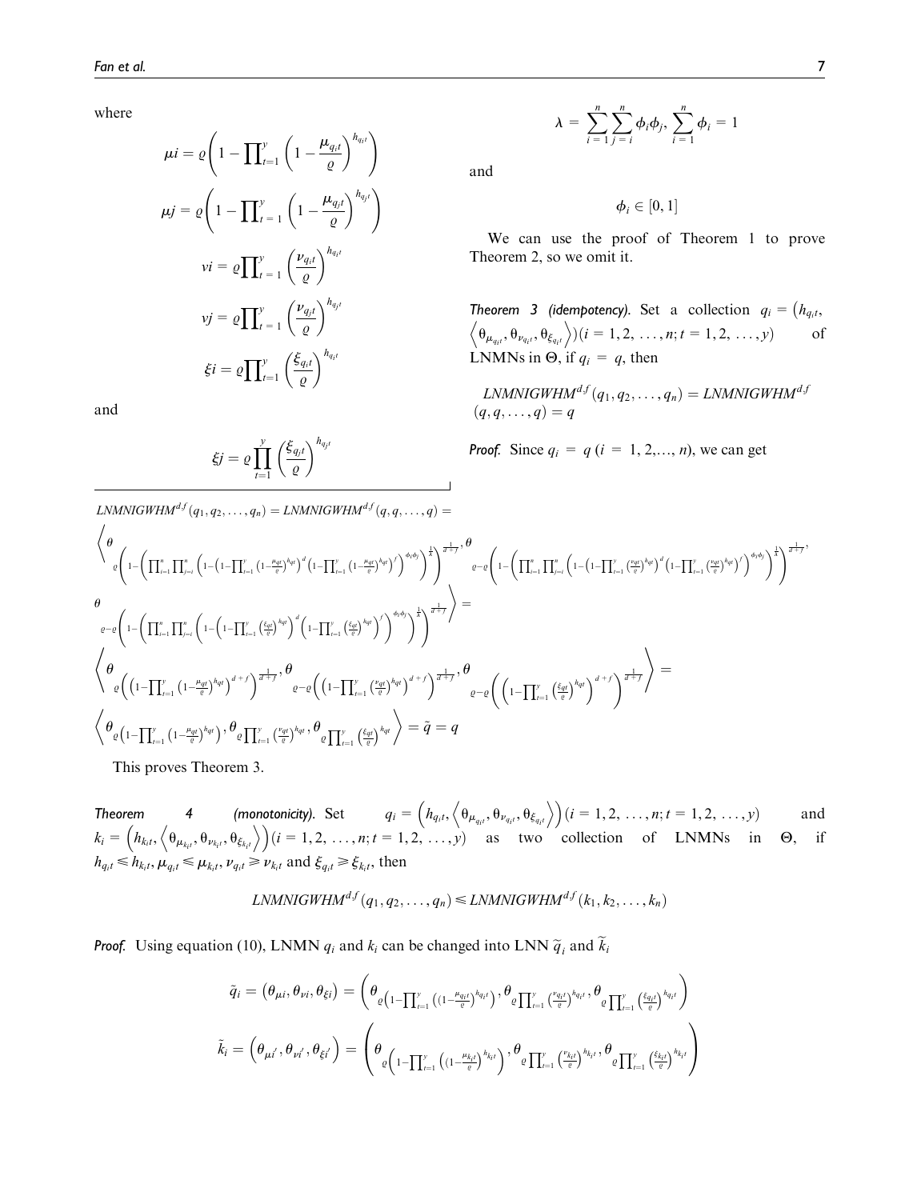where

$$
\mu i = \varrho \left( 1 - \prod_{t=1}^{y} \left( 1 - \frac{\mu_{q_i t}}{\varrho} \right)^{h_{q_i t}} \right)
$$

$$
\mu j = \varrho \left( 1 - \prod_{t=1}^{y} \left( 1 - \frac{\mu_{q_j t}}{\varrho} \right)^{h_{q_j t}} \right)
$$

$$
\nu i = \varrho \prod_{t=1}^{y} \left( \frac{\nu_{q_i t}}{\varrho} \right)^{h_{q_i t}}
$$

$$
\nu j = \varrho \prod_{t=1}^{y} \left( \frac{\nu_{q_j t}}{\varrho} \right)^{h_{q_j t}}
$$

$$
\xi i = \varrho \prod_{t=1}^{y} \left( \frac{\xi_{q_i t}}{\varrho} \right)^{h_{q_i t}}
$$

and

$$
\xi j = \varrho \prod_{t=1}^{y} \left( \frac{\xi_{q_j t}}{\varrho} \right)^{h_{q_j t}}
$$

 $\mathcal{L}N M N I G W H M^{df}(q_1, q_2, \ldots, q_n) = \mathcal{L}N M N I G W H M^{df}(q, q, \ldots, q) =$ 

$$
\lambda = \sum_{i=1}^{n} \sum_{j=i}^{n} \phi_i \phi_j, \sum_{i=1}^{n} \phi_i = 1
$$

and

 $\phi_i \in [0,1]$ 

We can use the proof of Theorem 1 to prove Theorem 2, so we omit it.

**Theorem 3 (idempotency).** Set a collection  $q_i = (h_{q_i},$  $\langle \theta_{\mu_{q_i}}, \theta_{\nu_{q_i}}, \theta_{\xi_{q_i}} \rangle$   $(i = 1, 2, ..., n; t = 1, 2, ..., y)$  of LNMNs in  $\Theta$ , if  $q_i = q$ , then

 $\mathit{LNMNIGWHM}^{df}(q_1, q_2, \dots, q_n) = \mathit{LNMNIGWHM}^{dg}$  $(q, q, \ldots, q) = q$ 

**Proof.** Since  $q_i = q$  ( $i = 1, 2, ..., n$ ), we can get

$$
\begin{split} &\left\langle \theta \right.\\ &\left. \phi \left(1-\left(\prod_{i=1}^{n}\prod_{j=i}^{n}\left(1-\left(1-\prod_{i=1}^{y}\left(1-\frac{\mu_{qI}}{c}\right)^{h_{qI}}\right)^{d}\left(1-\prod_{i=1}^{y}\left(1-\frac{\mu_{qI}}{c}\right)^{h_{qI}}\right)^{d}\right)^{\frac{1}{d}}\right)^{\frac{1}{d+\gamma}}, \theta \right.\\ &\left. \left. \phi \right.\\ &\left. \phi \left(1-\left(\prod_{i=1}^{n}\prod_{j=i}^{n}\left(1-\left(1-\prod_{i=1}^{y}\left(1-\left(1-\prod_{i=1}^{y}\left(1-\frac{\mu_{qI}}{c}\right)^{h_{qI}}\right)^{d}\right)^{d}\left(1-\prod_{i=1}^{y}\left(1-\left(1-\prod_{i=1}^{y}\left(1-\frac{\mu_{qI}}{c}\right)^{h_{qI}}\right)^{d}\right)^{\frac{1}{d}}\right)^{\frac{1}{d+\gamma}}\right)^{\frac{1}{d+\gamma}}\right) \right\rangle \\ &\left. \left. \phi \left. \left(1-\left(\prod_{i=1}^{n}\prod_{j=i}^{n}\left(1-\left(1-\prod_{i=1}^{y}\left(\frac{\epsilon_{qI}}{c}\right)^{h_{qI}}\right)^{d} + f\right)^{\frac{1}{d+\gamma}}, \theta \right) \right.\\ &\left. \phi \left. \left(1-\prod_{i=1}^{y}\left(1-\frac{\mu_{qI}}{c}\right)^{h_{qI}}\right)^{d+\gamma}\right)^{\frac{1}{d+\gamma}}, \theta \right.\\ &\left. \left. \phi \left. \left(1-\prod_{i=1}^{y}\left(1-\frac{\mu_{qI}}{c}\right)^{h_{qI}}\right)^{d+\gamma}\right), \theta \right.\\ &\left. \left. \phi \left. \left(1-\prod_{i=1}^{y}\left(1-\frac{\mu_{qI}}{c}\right)^{h_{qI}}\right), \theta \right.\\ &\left. \phi \left. \left(1-\prod_{i=1}^{y}\left(\frac{\nu_{qI}}{c}\right)^{h_{qI}}, \theta \right) \right|_{\theta}\right) \right|_{\omega,1} \\ &\left. \phi \left. \left(1-\prod_{i=1}^{y}\left(1-\frac{\mu_{q
$$

This proves Theorem 3.

**Theorem** 4 (monotonicity). Set  $q_i = (h_{q_i t}, \langle \theta_{\mu_{q_i t}}, \theta_{\nu_{q_i t}}, \theta_{\xi_{q_i t}} \rangle)(i = 1, 2, ..., n; t = 1, 2, ..., y)$  and  $k_i = (h_{k_i t}, \langle \theta_{\mu_{k_i t}}, \theta_{\nu_{k_i t}}, \theta_{\xi_{k_i t}} \rangle)(i = 1, 2, \dots, n; t = 1, 2, \dots, y)$  as two collection of LNMNs in  $\Theta$ , if  $h_{q_i t} \le h_{k_i t}, \mu_{q_i t} \le \mu_{k_i t}, \nu_{q_i t} \ge \nu_{k_i t}$  and  $\xi_{q_i t} \ge \xi_{k_i t}$ , then

$$
LNMNIGWHM^{d,f}(q_1, q_2, \ldots, q_n) \leq LNMNGWHM^{d,f}(k_1, k_2, \ldots, k_n)
$$

**Proof.** Using equation (10), LNMN  $q_i$  and  $k_i$  can be changed into LNN  $\tilde{q}_i$  and  $\tilde{k}_i$ 

$$
\tilde{q}_i = \left(\theta_{\mu i}, \theta_{\nu i}, \theta_{\xi i}\right) = \left(\theta_{\varrho\left(1-\prod_{t=1}^{\nu}\left((1-\frac{\mu_{q_it}}{\varrho})^{h_{q_it}}\right), \theta_{\varrho\prod_{t=1}^{\nu}\left(\frac{v_{q_it}}{\varrho}\right)^{h_{q_it}}, \theta_{\varrho\prod_{t=1}^{\nu}\left(\frac{\xi_{q_it}}{\varrho}\right)^{h_{q_it}}}\right)}{\tilde{k}_i = \left(\theta_{\mu i'}, \theta_{\nu i'}, \theta_{\xi i'}\right) = \left(\theta_{\varrho\left(1-\prod_{t=1}^{\nu}\left((1-\frac{\mu_{k_it}}{\varrho})^{h_{k_it}}\right), \theta_{\varrho\prod_{t=1}^{\nu}\left(\frac{v_{k_it}}{\varrho}\right)^{h_{k_it}}, \theta_{\varrho\prod_{t=1}^{\nu}\left(\frac{\xi_{k_it}}{\varrho}\right)^{h_{k_it}}}\right)}\right)
$$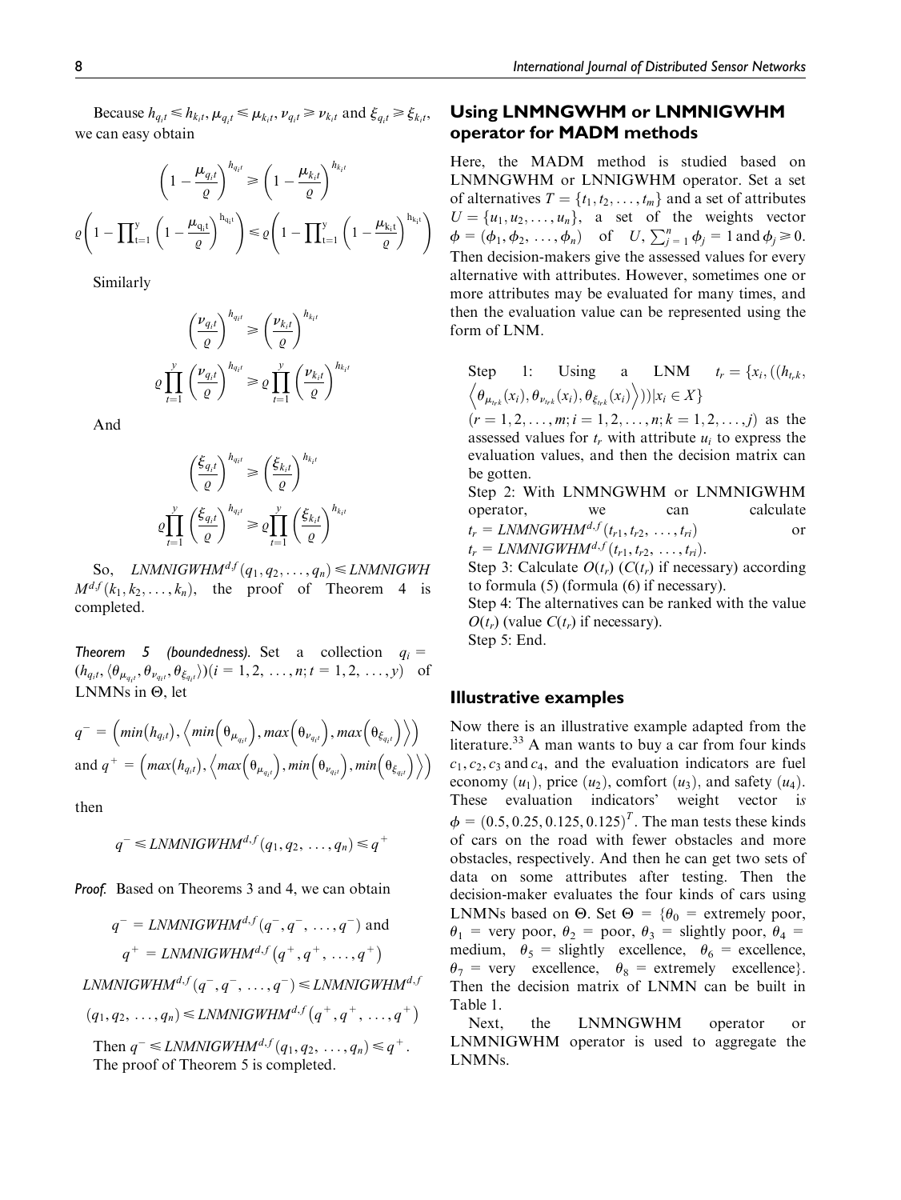$$
\left(1 - \frac{\mu_{q_i t}}{\varrho}\right)^{h_{q_i t}} \ge \left(1 - \frac{\mu_{k_i t}}{\varrho}\right)^{h_{k_i t}}
$$
\n
$$
\varrho \left(1 - \prod_{t=1}^y \left(1 - \frac{\mu_{q_i t}}{\varrho}\right)^{h_{q_i t}}\right) \le \varrho \left(1 - \prod_{t=1}^y \left(1 - \frac{\mu_{k_i t}}{\varrho}\right)^{h_{k_i t}}\right)
$$

Similarly

$$
\left(\frac{\nu_{q_it}}{\varrho}\right)^{h_{q_it}} \ge \left(\frac{\nu_{k_it}}{\varrho}\right)^{h_{k_it}}
$$

$$
\varrho \prod_{t=1}^y \left(\frac{\nu_{q_it}}{\varrho}\right)^{h_{q_it}} \ge \varrho \prod_{t=1}^y \left(\frac{\nu_{k_it}}{\varrho}\right)^{h_{k_it}}
$$

And

$$
\left(\frac{\xi_{q_it}}{\varrho}\right)^{h_{q_it}} \ge \left(\frac{\xi_{k_it}}{\varrho}\right)^{h_{k_it}}
$$

$$
\varrho \prod_{t=1}^y \left(\frac{\xi_{q_it}}{\varrho}\right)^{h_{q_it}} \ge \varrho \prod_{t=1}^y \left(\frac{\xi_{k_it}}{\varrho}\right)^{h_{k_it}}
$$

So, LNMNIGWHM<sup>df</sup> $(q_1, q_2, \ldots, q_n) \leq L$ NMNIGWH  $M^{d,f}(k_1, k_2, \ldots, k_n)$ , the proof of Theorem 4 is completed.

Theorem 5 (boundedness). Set a collection  $q_i =$  $(h_{q_i t}, \langle \theta_{\mu_{q_i t}}, \theta_{\nu_{q_i t}}, \theta_{\xi_{q_i t}} \rangle)(i = 1, 2, \dots, n; t = 1, 2, \dots, y)$  of LNMNs in  $\Theta$ , let

$$
q^{-} = \left(\min(h_{q_i l}), \left\langle \min(\theta_{\mu_{q_i l}}), \max(\theta_{\nu_{q_i l}}), \max(\theta_{\xi_{q_i l}})\right\rangle\right) \n\text{and } q^{+} = \left(\max(h_{q_i l}), \left\langle \max(\theta_{\mu_{q_i l}}), \min(\theta_{\nu_{q_i l}}), \min(\theta_{\xi_{q_i l}})\right\rangle\right)
$$

then

$$
q^{-} \leq LNMNIGWHM^{d,f}(q_1, q_2, \ldots, q_n) \leq q^{+}
$$

Proof. Based on Theorems 3 and 4, we can obtain

$$
q^{-} = \text{LNMNIGWHM}^{d,f}(q^{-}, q^{-}, \dots, q^{-}) \text{ and}
$$
\n
$$
q^{+} = \text{LNMNIGWHM}^{d,f}(q^{+}, q^{+}, \dots, q^{+})
$$
\n
$$
\text{LNMNIGWHM}^{d,f}(q^{-}, q^{-}, \dots, q^{-}) \leq \text{LNMNIGWHM}^{d,f}
$$
\n
$$
(q_1, q_2, \dots, q_n) \leq \text{LNMNIGWHM}^{d,f}(q^{+}, q^{+}, \dots, q^{+})
$$
\n
$$
\text{Then } q^{-} \leq \text{LNMNIGWHM}^{d,f}(q, q^{-}, \dots, q^{+}) \leq q^{+}
$$

Then  $q^- \leq LNMNIGWHM^{a,j} (q_1, q_2, \ldots, q_n) \leq q^+$ . The proof of Theorem 5 is completed.

## Using LNMNGWHM or LNMNIGWHM operator for MADM methods

Here, the MADM method is studied based on LNMNGWHM or LNNIGWHM operator. Set a set of alternatives  $T = \{t_1, t_2, \dots, t_m\}$  and a set of attributes  $U = \{u_1, u_2, \dots, u_n\}$ , a set of the weights vector  $\phi = (\phi_1, \phi_2, ..., \phi_n)$  of  $U, \sum_{j=1}^n \phi_j = 1$  and  $\phi_j \ge 0$ . Then decision-makers give the assessed values for every alternative with attributes. However, sometimes one or more attributes may be evaluated for many times, and then the evaluation value can be represented using the form of LNM.

Step 1: Using a LNM 
$$
t_r = \{x_i, ((h_{t_r k}, \langle \theta_{\mu_{t_r k}}(x_i), \theta_{\nu_{t_r k}}(x_i), \theta_{\xi_{t_r k}}(x_i) \rangle) ) | x_i \in X \}
$$

 $(r = 1, 2, \ldots, m; i = 1, 2, \ldots, n; k = 1, 2, \ldots, j)$  as the assessed values for  $t_r$  with attribute  $u_i$  to express the evaluation values, and then the decision matrix can be gotten.

Step 2: With LNMNGWHM or LNMNIGWHM operator, we can calculate  $t_r = LNMNGWHM^{d,f}(t_{r1}, t_{r2}, \ldots, t_{ri})$  or  $t_r = LNMNIGWHM^{d,f}(t_{r1}, t_{r2}, \ldots, t_{ri}).$ 

Step 3: Calculate  $O(t_r)$  ( $C(t_r)$ ) if necessary) according to formula (5) (formula (6) if necessary).

Step 4: The alternatives can be ranked with the value  $O(t_r)$  (value  $C(t_r)$  if necessary).

Step 5: End.

## Illustrative examples

Now there is an illustrative example adapted from the literature.<sup>33</sup> A man wants to buy a car from four kinds  $c_1, c_2, c_3$  and  $c_4$ , and the evaluation indicators are fuel economy  $(u_1)$ , price  $(u_2)$ , comfort  $(u_3)$ , and safety  $(u_4)$ . These evaluation indicators' weight vector is  $\phi = (0.5, 0.25, 0.125, 0.125)^T$ . The man tests these kinds of cars on the road with fewer obstacles and more obstacles, respectively. And then he can get two sets of data on some attributes after testing. Then the decision-maker evaluates the four kinds of cars using LNMNs based on  $\Theta$ . Set  $\Theta = {\theta_0 =$  extremely poor,  $\theta_1$  = very poor,  $\theta_2$  = poor,  $\theta_3$  = slightly poor,  $\theta_4$  = medium,  $\theta_5$  = slightly excellence,  $\theta_6$  = excellence,  $\theta_7$  = very excellence,  $\theta_8$  = extremely excellence}. Then the decision matrix of LNMN can be built in Table 1.

Next, the LNMNGWHM operator or LNMNIGWHM operator is used to aggregate the LNMNs.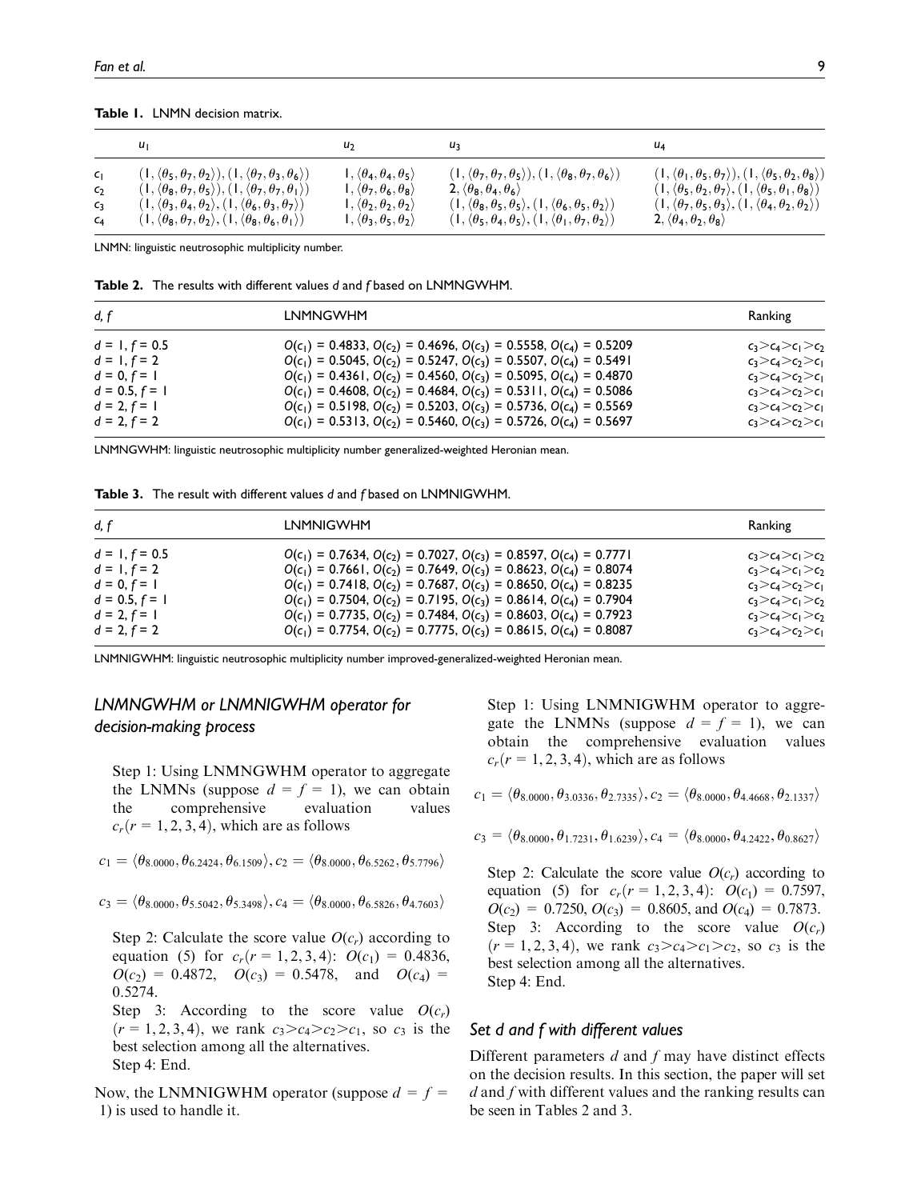Table 1. LNMN decision matrix.

|                 |                                                                                                        | U <sub>2</sub>                                             | u٦                                                                                                     | u4                                                                                                     |
|-----------------|--------------------------------------------------------------------------------------------------------|------------------------------------------------------------|--------------------------------------------------------------------------------------------------------|--------------------------------------------------------------------------------------------------------|
| $C_{\parallel}$ | $(1, \langle \theta_5, \theta_7, \theta_2 \rangle), (1, \langle \theta_7, \theta_3, \theta_6 \rangle)$ | $\mathsf{I}, \langle \theta_4, \theta_4, \theta_5 \rangle$ | $(1, \langle \theta_7, \theta_7, \theta_5 \rangle), (1, \langle \theta_8, \theta_7, \theta_6 \rangle)$ | $(1, \langle \theta_1, \theta_5, \theta_7 \rangle), (1, \langle \theta_5, \theta_2, \theta_8 \rangle)$ |
| $\mathsf{C}_2$  | $(1, \langle \theta_8, \theta_7, \theta_5 \rangle), (1, \langle \theta_7, \theta_7, \theta_1 \rangle)$ | $1, \langle \theta_7, \theta_6, \theta_8 \rangle$          | 2, $\langle \theta_8, \theta_4, \theta_6 \rangle$                                                      | $(1, \langle \theta_5, \theta_2, \theta_7 \rangle, (1, \langle \theta_5, \theta_1, \theta_8 \rangle))$ |
| C <sub>3</sub>  | $(1, \langle \theta_3, \theta_4, \theta_2 \rangle, (1, \langle \theta_6, \theta_3, \theta_7 \rangle))$ | $\mathsf{I}, \langle \theta_2, \theta_2, \theta_2 \rangle$ | $(1, \langle \theta_8, \theta_5, \theta_5 \rangle, (1, \langle \theta_6, \theta_5, \theta_2 \rangle))$ | $(1, \langle \theta_7, \theta_5, \theta_3 \rangle, (1, \langle \theta_4, \theta_2, \theta_2 \rangle))$ |
| $C_{4}$         | $(1, \langle \theta_8, \theta_7, \theta_2 \rangle, (1, \langle \theta_8, \theta_6, \theta_1 \rangle))$ | $\mathsf{I}, \langle \theta_3, \theta_5, \theta_2 \rangle$ | $(1, \langle \theta_5, \theta_4, \theta_5 \rangle, (1, \langle \theta_1, \theta_7, \theta_2 \rangle))$ | $2, \langle \theta_4, \theta_2, \theta_8 \rangle$                                                      |

LNMN: linguistic neutrosophic multiplicity number.

Table 2. The results with different values d and f based on LNMNGWHM.

| d. f             | <b>LNMNGWHM</b>                                                               | Ranking                 |
|------------------|-------------------------------------------------------------------------------|-------------------------|
| $d = 1, f = 0.5$ | $O(c_1) = 0.4833, O(c_2) = 0.4696, O(c_3) = 0.5558, O(c_4) = 0.5209$          | $c_3>c_4>c_1>c_2$       |
| $d = 1, f = 2$   | $O(c_1) = 0.5045$ , $O(c_2) = 0.5247$ , $O(c_3) = 0.5507$ , $O(c_4) = 0.5491$ | $c_3>c_4>c_7>c_1$       |
| $d = 0, f = 1$   | $O(c_1) = 0.4361, O(c_2) = 0.4560, O(c_3) = 0.5095, O(c_4) = 0.4870$          | $c_3>c_4>c_7>c_1$       |
| $d = 0.5, f = 1$ | $O(c_1) = 0.4608$ , $O(c_2) = 0.4684$ , $O(c_3) = 0.5311$ , $O(c_4) = 0.5086$ | $c_3>c_4>c_2>c_1$       |
| $d = 2, f = 1$   | $O(c_1) = 0.5198$ , $O(c_2) = 0.5203$ , $O(c_3) = 0.5736$ , $O(c_4) = 0.5569$ | $c_3 > c_4 > c_2 > c_1$ |
| $d = 2, f = 2$   | $O(c_1) = 0.5313$ , $O(c_2) = 0.5460$ , $O(c_3) = 0.5726$ , $O(c_4) = 0.5697$ | $c_3>c_4>c_7>c_1$       |

LNMNGWHM: linguistic neutrosophic multiplicity number generalized-weighted Heronian mean.

Table 3. The result with different values d and f based on LNMNIGWHM.

| d. f             | LNMNIGWHM                                                                     | Ranking                 |
|------------------|-------------------------------------------------------------------------------|-------------------------|
| $d = 1, f = 0.5$ | $O(c_1) = 0.7634$ , $O(c_2) = 0.7027$ , $O(c_3) = 0.8597$ , $O(c_4) = 0.7771$ | $c_3 > c_4 > c_1 > c_2$ |
| $d = 1, f = 2$   | $O(c_1) = 0.7661$ , $O(c_2) = 0.7649$ , $O(c_3) = 0.8623$ , $O(c_4) = 0.8074$ | $c_3 > c_4 > c_1 > c_2$ |
| $d = 0, f = 1$   | $O(c_1) = 0.7418$ , $O(c_2) = 0.7687$ , $O(c_3) = 0.8650$ , $O(c_4) = 0.8235$ | $c_3>c_4>c_2>c_1$       |
| $d = 0.5, f = 1$ | $O(c_1) = 0.7504$ , $O(c_2) = 0.7195$ , $O(c_3) = 0.8614$ , $O(c_4) = 0.7904$ | $c_3 > c_4 > c_1 > c_2$ |
| $d = 2, f = 1$   | $O(c_1) = 0.7735, O(c_2) = 0.7484, O(c_3) = 0.8603, O(c_4) = 0.7923$          | $c_3 > c_4 > c_1 > c_2$ |
| $d = 2, f = 2$   | $O(c_1) = 0.7754$ , $O(c_2) = 0.7775$ , $O(c_3) = 0.8615$ , $O(c_4) = 0.8087$ | $c_3 > c_4 > c_2 > c_1$ |

LNMNIGWHM: linguistic neutrosophic multiplicity number improved-generalized-weighted Heronian mean.

## LNMNGWHM or LNMNIGWHM operator for decision-making process

Step 1: Using LNMNGWHM operator to aggregate the LNMNs (suppose  $d = f = 1$ ), we can obtain the comprehensive evaluation values  $c_r(r = 1, 2, 3, 4)$ , which are as follows

$$
c_1 = \langle \theta_{8.0000}, \theta_{6.2424}, \theta_{6.1509} \rangle, c_2 = \langle \theta_{8.0000}, \theta_{6.5262}, \theta_{5.7796} \rangle
$$

$$
c_3 = \langle \theta_{8.0000}, \theta_{5.5042}, \theta_{5.3498} \rangle, c_4 = \langle \theta_{8.0000}, \theta_{6.5826}, \theta_{4.7603} \rangle
$$

Step 2: Calculate the score value  $O(c_r)$  according to equation (5) for  $c_r(r = 1, 2, 3, 4)$ :  $O(c_1) = 0.4836$ ,  $O(c_2) = 0.4872$ ,  $O(c_3) = 0.5478$ , and  $O(c_4) =$ 0.5274.

Step 3: According to the score value  $O(c_r)$  $(r = 1, 2, 3, 4)$ , we rank  $c_3 > c_4 > c_2 > c_1$ , so  $c_3$  is the best selection among all the alternatives. Step 4: End.

Now, the LNMNIGWHM operator (suppose  $d = f =$ 1) is used to handle it.

Step 1: Using LNMNIGWHM operator to aggregate the LNMNs (suppose  $d = f = 1$ ), we can obtain the comprehensive evaluation values  $c_r(r = 1, 2, 3, 4)$ , which are as follows

$$
c_1 = \langle \theta_{8.0000}, \theta_{3.0336}, \theta_{2.7335} \rangle, c_2 = \langle \theta_{8.0000}, \theta_{4.4668}, \theta_{2.1337} \rangle
$$

$$
c_3 = \langle \theta_{8.0000}, \theta_{1.7231}, \theta_{1.6239} \rangle, c_4 = \langle \theta_{8.0000}, \theta_{4.2422}, \theta_{0.8627} \rangle
$$

Step 2: Calculate the score value  $O(c_r)$  according to equation (5) for  $c_r(r = 1, 2, 3, 4)$ :  $O(c_1) = 0.7597$ ,  $O(c_2) = 0.7250, O(c_3) = 0.8605, \text{ and } O(c_4) = 0.7873.$ Step 3: According to the score value  $O(c_r)$  $(r = 1, 2, 3, 4)$ , we rank  $c_3 > c_4 > c_1 > c_2$ , so  $c_3$  is the best selection among all the alternatives. Step 4: End.

## Set d and f with different values

Different parameters  $d$  and  $f$  may have distinct effects on the decision results. In this section, the paper will set  $d$  and  $f$  with different values and the ranking results can be seen in Tables 2 and 3.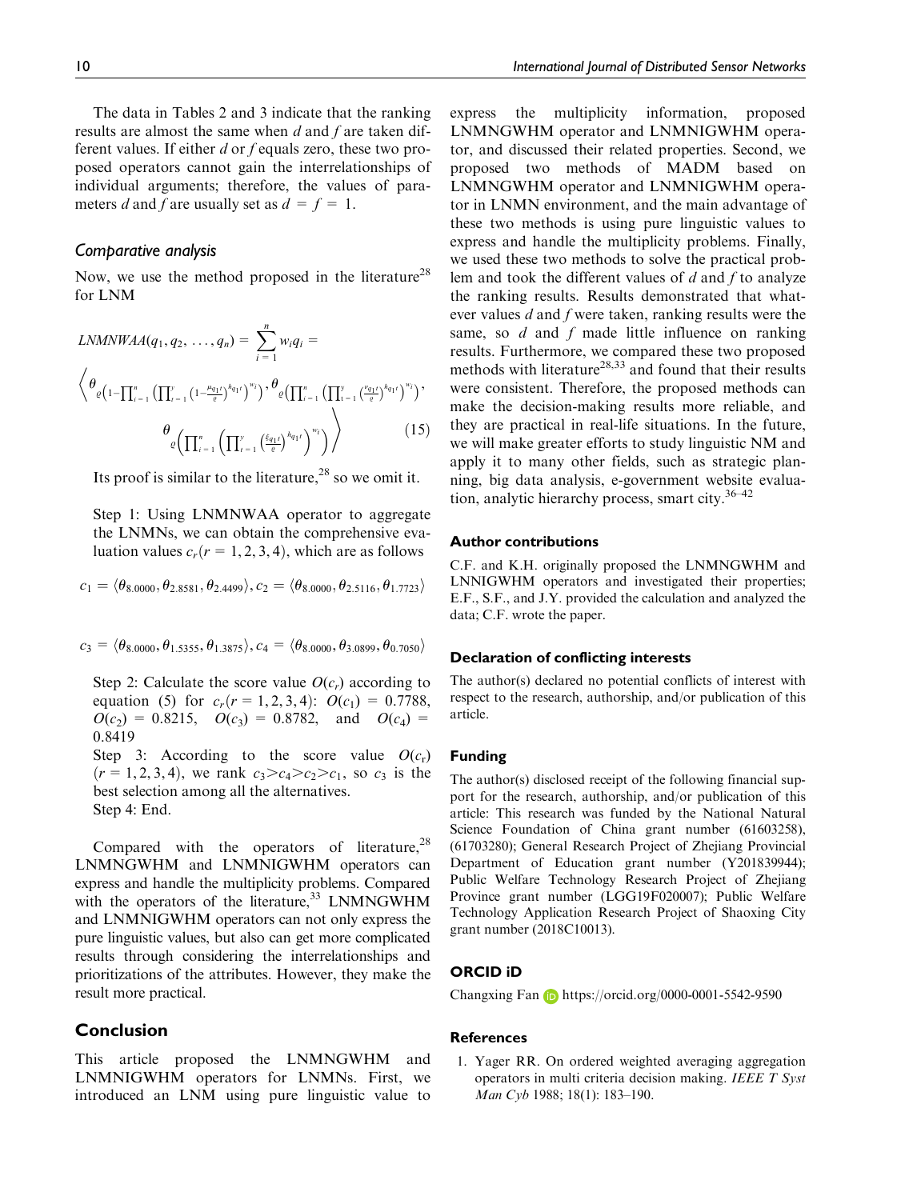The data in Tables 2 and 3 indicate that the ranking results are almost the same when  $d$  and  $f$  are taken different values. If either  $d$  or  $f$  equals zero, these two proposed operators cannot gain the interrelationships of individual arguments; therefore, the values of parameters d and f are usually set as  $d = f = 1$ .

## Comparative analysis

Now, we use the method proposed in the literature<sup>28</sup> for LNM

$$
LNMNWAA(q_1, q_2, ..., q_n) = \sum_{i=1}^{n} w_i q_i =
$$
\n
$$
\left\langle \theta_{\varrho} \left( 1 - \prod_{i=1}^{n} \left( \prod_{i=1}^{y} \left( 1 - \frac{\mu_{q_1 t}}{\varrho} \right)^{h_{q_1 t}} \right)^{w_i} \right), \theta_{\varrho} \left( \prod_{i=1}^{n} \left( \prod_{i=1}^{y} \left( \frac{\mu_{q_1 t}}{\varrho} \right)^{h_{q_1 t}} \right)^{w_i} \right), \theta_{\varrho} \left( \prod_{i=1}^{n} \left( \prod_{i=1}^{y} \left( \frac{\xi_{q_1 t}}{\varrho} \right)^{h_{q_1 t}} \right)^{w_i} \right) \right\rangle
$$
\n
$$
(15)
$$

Its proof is similar to the literature,<sup>28</sup> so we omit it.

Step 1: Using LNMNWAA operator to aggregate the LNMNs, we can obtain the comprehensive evaluation values  $c_r(r = 1, 2, 3, 4)$ , which are as follows

$$
c_1 = \langle \theta_{8.0000}, \theta_{2.8581}, \theta_{2.4499} \rangle, c_2 = \langle \theta_{8.0000}, \theta_{2.5116}, \theta_{1.7723} \rangle
$$

$$
c_3 = \langle \theta_{8.0000}, \theta_{1.5355}, \theta_{1.3875} \rangle, c_4 = \langle \theta_{8.0000}, \theta_{3.0899}, \theta_{0.7050} \rangle
$$

Step 2: Calculate the score value  $O(c_r)$  according to equation (5) for  $c_r(r = 1, 2, 3, 4)$ :  $O(c_1) = 0.7788$ ,  $O(c_2) = 0.8215$ ,  $O(c_3) = 0.8782$ , and  $O(c_4) =$ 0.8419

Step 3: According to the score value  $O(c_r)$  $(r = 1, 2, 3, 4)$ , we rank  $c_3 > c_4 > c_2 > c_1$ , so  $c_3$  is the best selection among all the alternatives. Step 4: End.

Compared with the operators of literature,  $28$ LNMNGWHM and LNMNIGWHM operators can express and handle the multiplicity problems. Compared with the operators of the literature,  $33$  LNMNGWHM and LNMNIGWHM operators can not only express the pure linguistic values, but also can get more complicated results through considering the interrelationships and prioritizations of the attributes. However, they make the result more practical.

## Conclusion

This article proposed the LNMNGWHM and LNMNIGWHM operators for LNMNs. First, we introduced an LNM using pure linguistic value to express the multiplicity information, proposed LNMNGWHM operator and LNMNIGWHM operator, and discussed their related properties. Second, we proposed two methods of MADM based on LNMNGWHM operator and LNMNIGWHM operator in LNMN environment, and the main advantage of these two methods is using pure linguistic values to express and handle the multiplicity problems. Finally, we used these two methods to solve the practical problem and took the different values of  $d$  and  $f$  to analyze the ranking results. Results demonstrated that whatever values d and f were taken, ranking results were the same, so  $d$  and  $f$  made little influence on ranking results. Furthermore, we compared these two proposed methods with literature<sup>28,33</sup> and found that their results were consistent. Therefore, the proposed methods can make the decision-making results more reliable, and they are practical in real-life situations. In the future, we will make greater efforts to study linguistic NM and apply it to many other fields, such as strategic planning, big data analysis, e-government website evaluation, analytic hierarchy process, smart city. $36-42$ 

#### Author contributions

C.F. and K.H. originally proposed the LNMNGWHM and LNNIGWHM operators and investigated their properties; E.F., S.F., and J.Y. provided the calculation and analyzed the data; C.F. wrote the paper.

#### Declaration of conflicting interests

The author(s) declared no potential conflicts of interest with respect to the research, authorship, and/or publication of this article.

#### Funding

The author(s) disclosed receipt of the following financial support for the research, authorship, and/or publication of this article: This research was funded by the National Natural Science Foundation of China grant number (61603258), (61703280); General Research Project of Zhejiang Provincial Department of Education grant number (Y201839944); Public Welfare Technology Research Project of Zhejiang Province grant number (LGG19F020007); Public Welfare Technology Application Research Project of Shaoxing City grant number (2018C10013).

## ORCID iD

Changxing Fan https://orcid.org/0000-0001-5542-9590

#### **References**

1. Yager RR. On ordered weighted averaging aggregation operators in multi criteria decision making. IEEE T Syst Man Cyb 1988; 18(1): 183–190.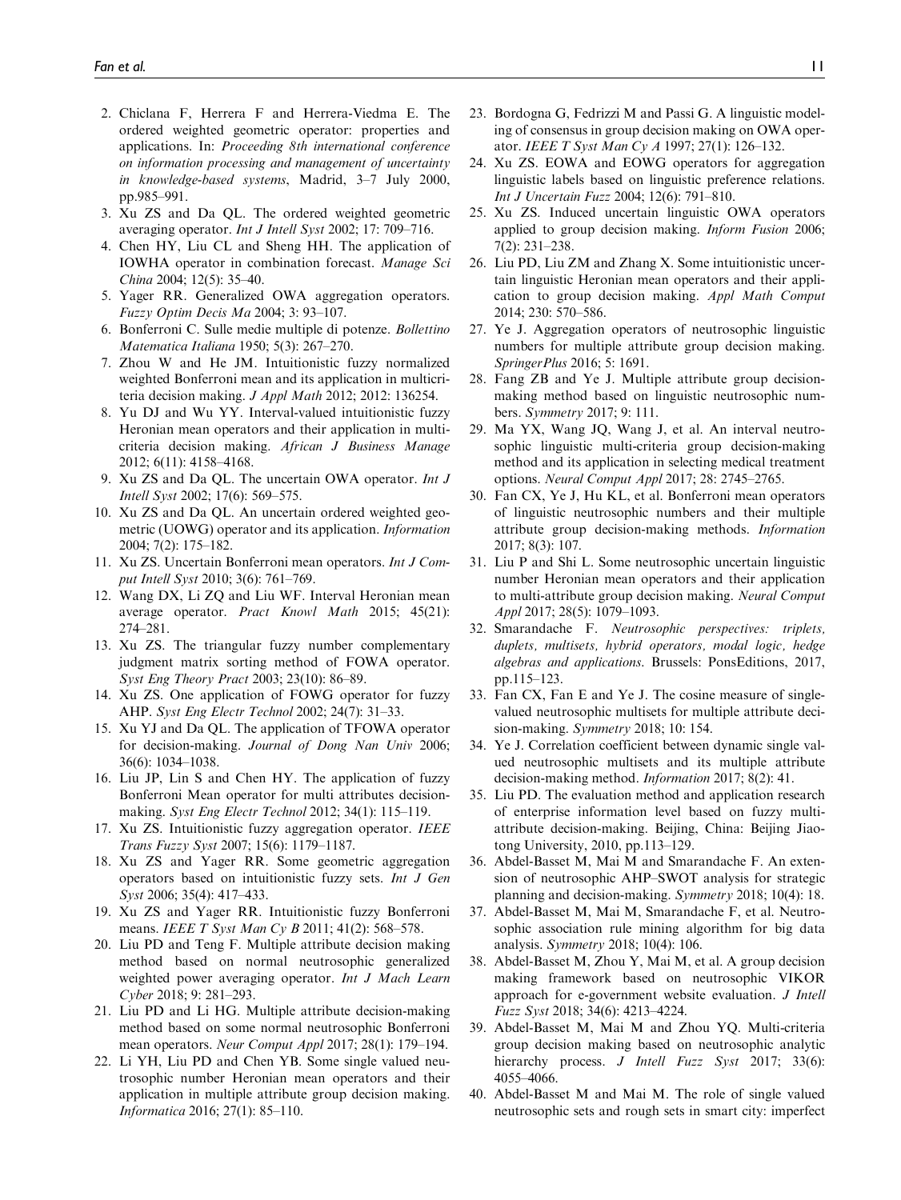- 2. Chiclana F, Herrera F and Herrera-Viedma E. The ordered weighted geometric operator: properties and applications. In: Proceeding 8th international conference on information processing and management of uncertainty in knowledge-based systems, Madrid, 3–7 July 2000, pp.985–991.
- 3. Xu ZS and Da QL. The ordered weighted geometric averaging operator. Int J Intell Syst 2002; 17: 709–716.
- 4. Chen HY, Liu CL and Sheng HH. The application of IOWHA operator in combination forecast. Manage Sci China 2004; 12(5): 35–40.
- 5. Yager RR. Generalized OWA aggregation operators. Fuzzy Optim Decis Ma 2004; 3: 93–107.
- 6. Bonferroni C. Sulle medie multiple di potenze. Bollettino Matematica Italiana 1950; 5(3): 267–270.
- 7. Zhou W and He JM. Intuitionistic fuzzy normalized weighted Bonferroni mean and its application in multicriteria decision making. J Appl Math 2012; 2012: 136254.
- 8. Yu DJ and Wu YY. Interval-valued intuitionistic fuzzy Heronian mean operators and their application in multicriteria decision making. African J Business Manage 2012; 6(11): 4158–4168.
- 9. Xu ZS and Da QL. The uncertain OWA operator. Int J Intell Syst 2002; 17(6): 569–575.
- 10. Xu ZS and Da QL. An uncertain ordered weighted geometric (UOWG) operator and its application. Information 2004; 7(2): 175–182.
- 11. Xu ZS. Uncertain Bonferroni mean operators. Int J Comput Intell Syst 2010; 3(6): 761–769.
- 12. Wang DX, Li ZQ and Liu WF. Interval Heronian mean average operator. Pract Knowl Math 2015; 45(21): 274–281.
- 13. Xu ZS. The triangular fuzzy number complementary judgment matrix sorting method of FOWA operator. Syst Eng Theory Pract 2003; 23(10): 86–89.
- 14. Xu ZS. One application of FOWG operator for fuzzy AHP. Syst Eng Electr Technol 2002; 24(7): 31–33.
- 15. Xu YJ and Da QL. The application of TFOWA operator for decision-making. Journal of Dong Nan Univ 2006; 36(6): 1034–1038.
- 16. Liu JP, Lin S and Chen HY. The application of fuzzy Bonferroni Mean operator for multi attributes decisionmaking. Syst Eng Electr Technol 2012; 34(1): 115–119.
- 17. Xu ZS. Intuitionistic fuzzy aggregation operator. IEEE Trans Fuzzy Syst 2007; 15(6): 1179–1187.
- 18. Xu ZS and Yager RR. Some geometric aggregation operators based on intuitionistic fuzzy sets. Int J Gen Syst 2006; 35(4): 417–433.
- 19. Xu ZS and Yager RR. Intuitionistic fuzzy Bonferroni means. IEEE T Syst Man Cy B 2011; 41(2): 568-578.
- 20. Liu PD and Teng F. Multiple attribute decision making method based on normal neutrosophic generalized weighted power averaging operator. Int J Mach Learn Cyber 2018; 9: 281–293.
- 21. Liu PD and Li HG. Multiple attribute decision-making method based on some normal neutrosophic Bonferroni mean operators. Neur Comput Appl 2017; 28(1): 179–194.
- 22. Li YH, Liu PD and Chen YB. Some single valued neutrosophic number Heronian mean operators and their application in multiple attribute group decision making. Informatica 2016; 27(1): 85–110.
- 23. Bordogna G, Fedrizzi M and Passi G. A linguistic modeling of consensus in group decision making on OWA operator. IEEE T Syst Man Cy A 1997; 27(1): 126–132.
- 24. Xu ZS. EOWA and EOWG operators for aggregation linguistic labels based on linguistic preference relations. Int J Uncertain Fuzz 2004; 12(6): 791–810.
- 25. Xu ZS. Induced uncertain linguistic OWA operators applied to group decision making. Inform Fusion 2006; 7(2): 231–238.
- 26. Liu PD, Liu ZM and Zhang X. Some intuitionistic uncertain linguistic Heronian mean operators and their application to group decision making. Appl Math Comput 2014; 230: 570–586.
- 27. Ye J. Aggregation operators of neutrosophic linguistic numbers for multiple attribute group decision making. SpringerPlus 2016; 5: 1691.
- 28. Fang ZB and Ye J. Multiple attribute group decisionmaking method based on linguistic neutrosophic numbers. Symmetry 2017; 9: 111.
- 29. Ma YX, Wang JQ, Wang J, et al. An interval neutrosophic linguistic multi-criteria group decision-making method and its application in selecting medical treatment options. Neural Comput Appl 2017; 28: 2745–2765.
- 30. Fan CX, Ye J, Hu KL, et al. Bonferroni mean operators of linguistic neutrosophic numbers and their multiple attribute group decision-making methods. Information 2017; 8(3): 107.
- 31. Liu P and Shi L. Some neutrosophic uncertain linguistic number Heronian mean operators and their application to multi-attribute group decision making. Neural Comput Appl 2017; 28(5): 1079–1093.
- 32. Smarandache F. Neutrosophic perspectives: triplets, duplets, multisets, hybrid operators, modal logic, hedge algebras and applications. Brussels: PonsEditions, 2017, pp.115–123.
- 33. Fan CX, Fan E and Ye J. The cosine measure of singlevalued neutrosophic multisets for multiple attribute decision-making. Symmetry 2018; 10: 154.
- 34. Ye J. Correlation coefficient between dynamic single valued neutrosophic multisets and its multiple attribute decision-making method. Information 2017; 8(2): 41.
- 35. Liu PD. The evaluation method and application research of enterprise information level based on fuzzy multiattribute decision-making. Beijing, China: Beijing Jiaotong University, 2010, pp.113–129.
- 36. Abdel-Basset M, Mai M and Smarandache F. An extension of neutrosophic AHP–SWOT analysis for strategic planning and decision-making. Symmetry 2018; 10(4): 18.
- 37. Abdel-Basset M, Mai M, Smarandache F, et al. Neutrosophic association rule mining algorithm for big data analysis. Symmetry 2018; 10(4): 106.
- 38. Abdel-Basset M, Zhou Y, Mai M, et al. A group decision making framework based on neutrosophic VIKOR approach for e-government website evaluation. J Intell Fuzz Syst 2018; 34(6): 4213–4224.
- 39. Abdel-Basset M, Mai M and Zhou YQ. Multi-criteria group decision making based on neutrosophic analytic hierarchy process. J Intell Fuzz Syst 2017; 33(6): 4055–4066.
- 40. Abdel-Basset M and Mai M. The role of single valued neutrosophic sets and rough sets in smart city: imperfect